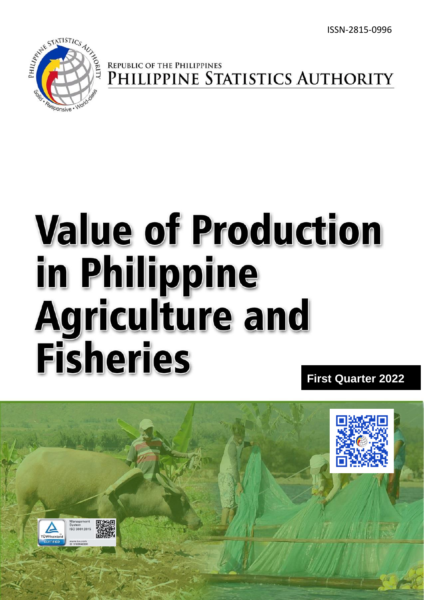

# REPUBLIC OF THE PHILIPPINES<br>PHILIPPINE STATISTICS AUTHORITY

# **Value of Production** in Philippine **Agriculture and Fisheries**

**First Quarter 20222**

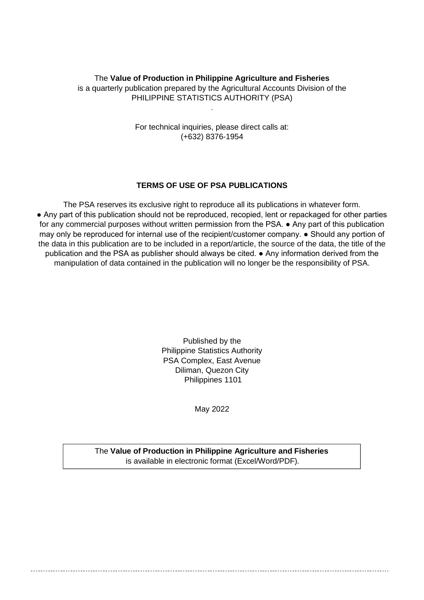# The **Value of Production in Philippine Agriculture and Fisheries** is a quarterly publication prepared by the Agricultural Accounts Division of the PHILIPPINE STATISTICS AUTHORITY (PSA)

.

For technical inquiries, please direct calls at: (+632) 8376-1954

### **TERMS OF USE OF PSA PUBLICATIONS**

The PSA reserves its exclusive right to reproduce all its publications in whatever form. ● Any part of this publication should not be reproduced, recopied, lent or repackaged for other parties for any commercial purposes without written permission from the PSA. • Any part of this publication may only be reproduced for internal use of the recipient/customer company. ● Should any portion of the data in this publication are to be included in a report/article, the source of the data, the title of the publication and the PSA as publisher should always be cited. ● Any information derived from the manipulation of data contained in the publication will no longer be the responsibility of PSA.

> Published by the Philippine Statistics Authority PSA Complex, East Avenue Diliman, Quezon City Philippines 1101

> > May 2022

The **Value of Production in Philippine Agriculture and Fisheries** is available in electronic format (Excel/Word/PDF).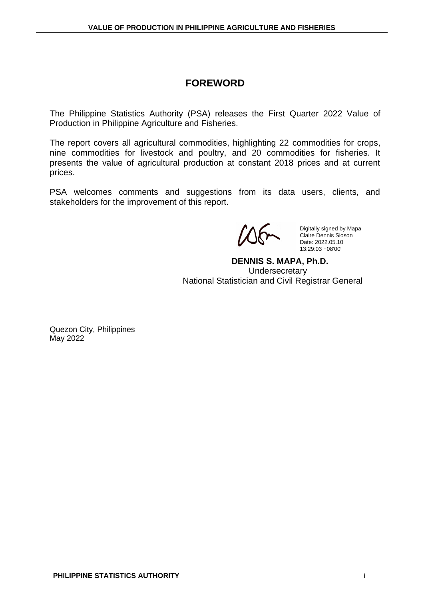# **FOREWORD**

The Philippine Statistics Authority (PSA) releases the First Quarter 2022 Value of Production in Philippine Agriculture and Fisheries.

The report covers all agricultural commodities, highlighting 22 commodities for crops, nine commodities for livestock and poultry, and 20 commodities for fisheries. It presents the value of agricultural production at constant 2018 prices and at current prices.

PSA welcomes comments and suggestions from its data users, clients, and stakeholders for the improvement of this report.

Digitally signed by Mapa Claire Dennis Sioson Date: 2022.05.10 13:29:03 +08'00'

 **DENNIS S. MAPA, Ph.D. Undersecretary** National Statistician and Civil Registrar General

Quezon City, Philippines May 2022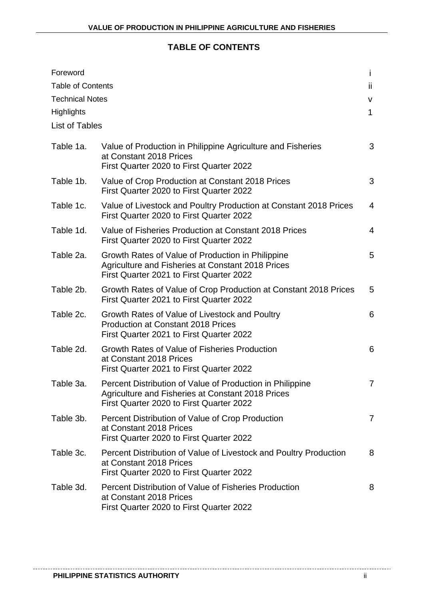# **TABLE OF CONTENTS**

| Foreword<br><b>Table of Contents</b><br><b>Technical Notes</b><br><b>Highlights</b> |                                                                                                                                                            | İ.<br>ii.<br>V<br>$\mathbf 1$ |
|-------------------------------------------------------------------------------------|------------------------------------------------------------------------------------------------------------------------------------------------------------|-------------------------------|
| <b>List of Tables</b>                                                               |                                                                                                                                                            |                               |
| Table 1a.                                                                           | Value of Production in Philippine Agriculture and Fisheries<br>at Constant 2018 Prices<br>First Quarter 2020 to First Quarter 2022                         | 3                             |
| Table 1b.                                                                           | Value of Crop Production at Constant 2018 Prices<br>First Quarter 2020 to First Quarter 2022                                                               | 3                             |
| Table 1c.                                                                           | Value of Livestock and Poultry Production at Constant 2018 Prices<br>First Quarter 2020 to First Quarter 2022                                              | $\overline{4}$                |
| Table 1d.                                                                           | Value of Fisheries Production at Constant 2018 Prices<br>First Quarter 2020 to First Quarter 2022                                                          | 4                             |
| Table 2a.                                                                           | Growth Rates of Value of Production in Philippine<br><b>Agriculture and Fisheries at Constant 2018 Prices</b><br>First Quarter 2021 to First Quarter 2022  | 5                             |
| Table 2b.                                                                           | Growth Rates of Value of Crop Production at Constant 2018 Prices<br>First Quarter 2021 to First Quarter 2022                                               | 5                             |
| Table 2c.                                                                           | Growth Rates of Value of Livestock and Poultry<br><b>Production at Constant 2018 Prices</b><br>First Quarter 2021 to First Quarter 2022                    | 6                             |
| Table 2d.                                                                           | Growth Rates of Value of Fisheries Production<br>at Constant 2018 Prices<br>First Quarter 2021 to First Quarter 2022                                       | 6                             |
| Table 3a.                                                                           | Percent Distribution of Value of Production in Philippine<br>Agriculture and Fisheries at Constant 2018 Prices<br>First Quarter 2020 to First Quarter 2022 | $\overline{7}$                |
| Table 3b.                                                                           | Percent Distribution of Value of Crop Production<br>at Constant 2018 Prices<br>First Quarter 2020 to First Quarter 2022                                    | $\overline{7}$                |
| Table 3c.                                                                           | Percent Distribution of Value of Livestock and Poultry Production<br>at Constant 2018 Prices<br>First Quarter 2020 to First Quarter 2022                   | 8                             |
| Table 3d.                                                                           | <b>Percent Distribution of Value of Fisheries Production</b><br>at Constant 2018 Prices<br>First Quarter 2020 to First Quarter 2022                        | 8                             |

. . . . . . . . . . . . .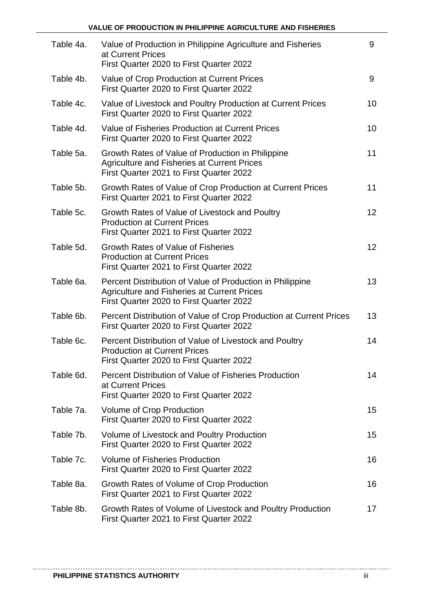| Table 4a. | Value of Production in Philippine Agriculture and Fisheries<br>at Current Prices<br>First Quarter 2020 to First Quarter 2022                                | 9               |
|-----------|-------------------------------------------------------------------------------------------------------------------------------------------------------------|-----------------|
| Table 4b. | Value of Crop Production at Current Prices<br>First Quarter 2020 to First Quarter 2022                                                                      | 9               |
| Table 4c. | Value of Livestock and Poultry Production at Current Prices<br>First Quarter 2020 to First Quarter 2022                                                     | 10              |
| Table 4d. | Value of Fisheries Production at Current Prices<br>First Quarter 2020 to First Quarter 2022                                                                 | 10              |
| Table 5a. | Growth Rates of Value of Production in Philippine<br><b>Agriculture and Fisheries at Current Prices</b><br>First Quarter 2021 to First Quarter 2022         | 11              |
| Table 5b. | Growth Rates of Value of Crop Production at Current Prices<br>First Quarter 2021 to First Quarter 2022                                                      | 11              |
| Table 5c. | Growth Rates of Value of Livestock and Poultry<br><b>Production at Current Prices</b><br>First Quarter 2021 to First Quarter 2022                           | 12 <sup>2</sup> |
| Table 5d. | Growth Rates of Value of Fisheries<br><b>Production at Current Prices</b><br>First Quarter 2021 to First Quarter 2022                                       | 12 <sup>2</sup> |
| Table 6a. | Percent Distribution of Value of Production in Philippine<br><b>Agriculture and Fisheries at Current Prices</b><br>First Quarter 2020 to First Quarter 2022 | 13              |
| Table 6b. | Percent Distribution of Value of Crop Production at Current Prices<br>First Quarter 2020 to First Quarter 2022                                              | 13              |
| Table 6c. | Percent Distribution of Value of Livestock and Poultry<br><b>Production at Current Prices</b><br>First Quarter 2020 to First Quarter 2022                   | 14              |
| Table 6d. | Percent Distribution of Value of Fisheries Production<br>at Current Prices<br>First Quarter 2020 to First Quarter 2022                                      | 14              |
| Table 7a. | Volume of Crop Production<br>First Quarter 2020 to First Quarter 2022                                                                                       | 15              |
| Table 7b. | Volume of Livestock and Poultry Production<br>First Quarter 2020 to First Quarter 2022                                                                      | 15              |
| Table 7c. | <b>Volume of Fisheries Production</b><br>First Quarter 2020 to First Quarter 2022                                                                           | 16              |
| Table 8a. | Growth Rates of Volume of Crop Production<br>First Quarter 2021 to First Quarter 2022                                                                       | 16              |
| Table 8b. | Growth Rates of Volume of Livestock and Poultry Production<br>First Quarter 2021 to First Quarter 2022                                                      | 17              |

. . . . . . . . . . . . .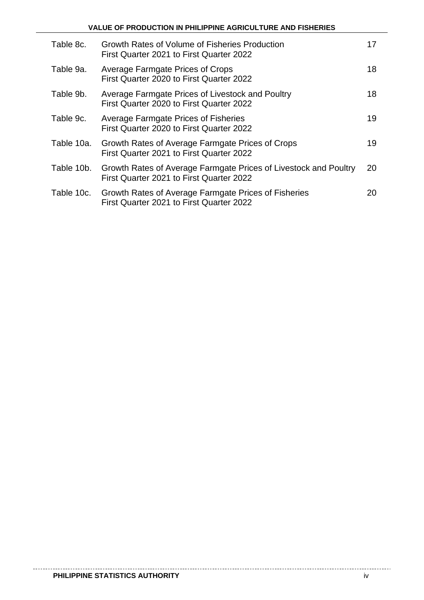|            | <b>VALUE OF PRODUCTION IN PHILIPPINE AGRICULTURE AND FISHERIES</b>                                           |    |
|------------|--------------------------------------------------------------------------------------------------------------|----|
| Table 8c.  | Growth Rates of Volume of Fisheries Production<br>First Quarter 2021 to First Quarter 2022                   | 17 |
| Table 9a.  | Average Farmgate Prices of Crops<br>First Quarter 2020 to First Quarter 2022                                 | 18 |
| Table 9b.  | Average Farmgate Prices of Livestock and Poultry<br>First Quarter 2020 to First Quarter 2022                 | 18 |
| Table 9c.  | <b>Average Farmgate Prices of Fisheries</b><br>First Quarter 2020 to First Quarter 2022                      | 19 |
| Table 10a. | Growth Rates of Average Farmgate Prices of Crops<br>First Quarter 2021 to First Quarter 2022                 | 19 |
| Table 10b. | Growth Rates of Average Farmgate Prices of Livestock and Poultry<br>First Quarter 2021 to First Quarter 2022 | 20 |
| Table 10c. | Growth Rates of Average Farmgate Prices of Fisheries<br>First Quarter 2021 to First Quarter 2022             | 20 |

-------------

. \_ \_ \_ \_ \_ \_ \_ \_ \_ \_ \_ \_ \_ \_ \_ \_

------------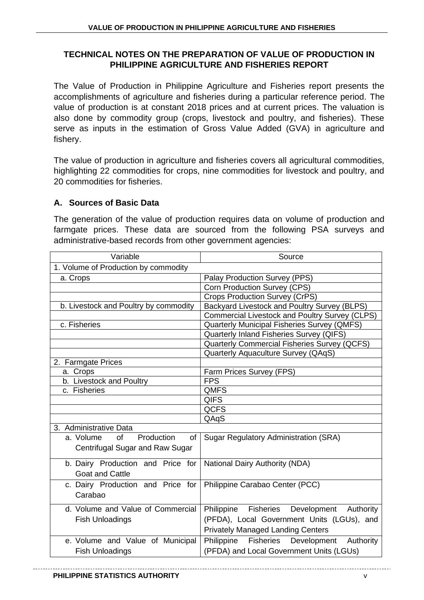# **TECHNICAL NOTES ON THE PREPARATION OF VALUE OF PRODUCTION IN PHILIPPINE AGRICULTURE AND FISHERIES REPORT**

The Value of Production in Philippine Agriculture and Fisheries report presents the accomplishments of agriculture and fisheries during a particular reference period. The value of production is at constant 2018 prices and at current prices. The valuation is also done by commodity group (crops, livestock and poultry, and fisheries). These serve as inputs in the estimation of Gross Value Added (GVA) in agriculture and fishery.

The value of production in agriculture and fisheries covers all agricultural commodities, highlighting 22 commodities for crops, nine commodities for livestock and poultry, and 20 commodities for fisheries.

# **A. Sources of Basic Data**

The generation of the value of production requires data on volume of production and farmgate prices. These data are sourced from the following PSA surveys and administrative-based records from other government agencies:

| Variable                                   | Source                                                     |  |  |  |  |
|--------------------------------------------|------------------------------------------------------------|--|--|--|--|
| 1. Volume of Production by commodity       |                                                            |  |  |  |  |
| a. Crops                                   | Palay Production Survey (PPS)                              |  |  |  |  |
|                                            | Corn Production Survey (CPS)                               |  |  |  |  |
|                                            | <b>Crops Production Survey (CrPS)</b>                      |  |  |  |  |
| b. Livestock and Poultry by commodity      | Backyard Livestock and Poultry Survey (BLPS)               |  |  |  |  |
|                                            | <b>Commercial Livestock and Poultry Survey (CLPS)</b>      |  |  |  |  |
| c. Fisheries                               | Quarterly Municipal Fisheries Survey (QMFS)                |  |  |  |  |
|                                            | Quarterly Inland Fisheries Survey (QIFS)                   |  |  |  |  |
|                                            | <b>Quarterly Commercial Fisheries Survey (QCFS)</b>        |  |  |  |  |
|                                            | Quarterly Aquaculture Survey (QAqS)                        |  |  |  |  |
| 2. Farmgate Prices                         |                                                            |  |  |  |  |
| a. Crops                                   | Farm Prices Survey (FPS)                                   |  |  |  |  |
| b. Livestock and Poultry                   | <b>FPS</b>                                                 |  |  |  |  |
| c. Fisheries                               | <b>QMFS</b>                                                |  |  |  |  |
|                                            | <b>QIFS</b>                                                |  |  |  |  |
|                                            | <b>QCFS</b>                                                |  |  |  |  |
|                                            | QAqS                                                       |  |  |  |  |
| 3. Administrative Data                     |                                                            |  |  |  |  |
| Production<br><b>of</b><br>a. Volume<br>of | <b>Sugar Regulatory Administration (SRA)</b>               |  |  |  |  |
| Centrifugal Sugar and Raw Sugar            |                                                            |  |  |  |  |
|                                            |                                                            |  |  |  |  |
| b. Dairy Production and Price for          | <b>National Dairy Authority (NDA)</b>                      |  |  |  |  |
| <b>Goat and Cattle</b>                     |                                                            |  |  |  |  |
| c. Dairy Production and Price for          | Philippine Carabao Center (PCC)                            |  |  |  |  |
| Carabao                                    |                                                            |  |  |  |  |
| d. Volume and Value of Commercial          | Philippine Fisheries<br>Development<br>Authority           |  |  |  |  |
| <b>Fish Unloadings</b>                     | (PFDA), Local Government Units (LGUs), and                 |  |  |  |  |
|                                            |                                                            |  |  |  |  |
|                                            | <b>Privately Managed Landing Centers</b>                   |  |  |  |  |
| e. Volume and Value of Municipal           | <b>Fisheries</b><br>Philippine<br>Development<br>Authority |  |  |  |  |
| <b>Fish Unloadings</b>                     | (PFDA) and Local Government Units (LGUs)                   |  |  |  |  |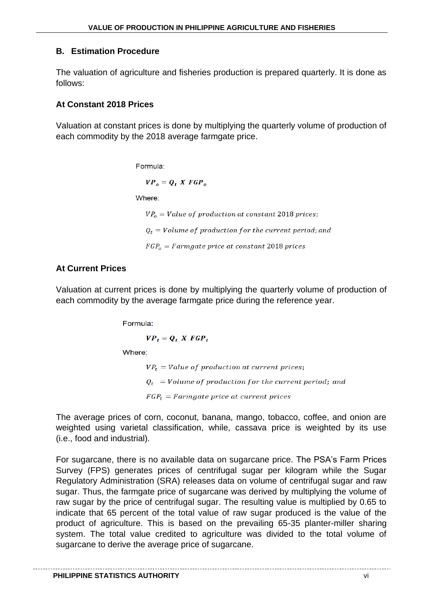# **B. Estimation Procedure**

The valuation of agriculture and fisheries production is prepared quarterly. It is done as follows:

# **At Constant 2018 Prices**

Valuation at constant prices is done by multiplying the quarterly volume of production of each commodity by the 2018 average farmgate price.

Formula:

 $VP_o = Q_t$  X FGP<sub>o</sub>

Where:

 $VP<sub>o</sub> = Value of production at constant 2018 prices;$ 

 $Q_t$  = Volume of production for the current period; and

 $FGP<sub>o</sub> = Farmgate price at constant 2018 prices$ 

# **At Current Prices**

Valuation at current prices is done by multiplying the quarterly volume of production of each commodity by the average farmgate price during the reference year.

Formula:

 $VP_t = Q_t$ ,  $X$   $FGP_t$ 

Where:

 $VP_t = Value of production at current prices;$  $Q_t$  = Volume of production for the current period; and  $FGP_t = Farmgate$  price at current prices

The average prices of corn, coconut, banana, mango, tobacco, coffee, and onion are weighted using varietal classification, while, cassava price is weighted by its use (i.e., food and industrial).

For sugarcane, there is no available data on sugarcane price. The PSA's Farm Prices Survey (FPS) generates prices of centrifugal sugar per kilogram while the Sugar Regulatory Administration (SRA) releases data on volume of centrifugal sugar and raw sugar. Thus, the farmgate price of sugarcane was derived by multiplying the volume of raw sugar by the price of centrifugal sugar. The resulting value is multiplied by 0.65 to indicate that 65 percent of the total value of raw sugar produced is the value of the product of agriculture. This is based on the prevailing 65-35 planter-miller sharing system. The total value credited to agriculture was divided to the total volume of sugarcane to derive the average price of sugarcane.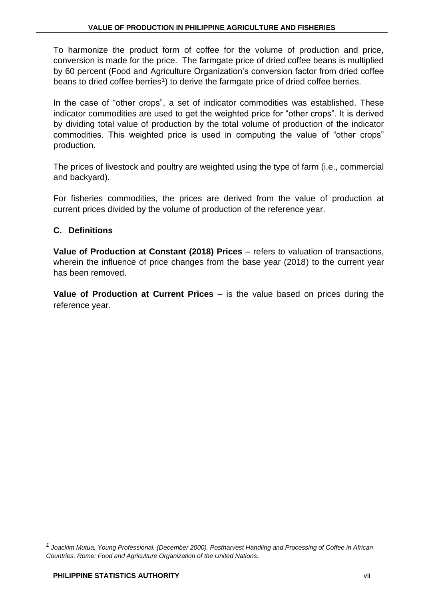To harmonize the product form of coffee for the volume of production and price, conversion is made for the price. The farmgate price of dried coffee beans is multiplied by 60 percent (Food and Agriculture Organization's conversion factor from dried coffee beans to dried coffee berries<sup>1</sup>) to derive the farmgate price of dried coffee berries.

In the case of "other crops", a set of indicator commodities was established. These indicator commodities are used to get the weighted price for "other crops". It is derived by dividing total value of production by the total volume of production of the indicator commodities. This weighted price is used in computing the value of "other crops" production.

The prices of livestock and poultry are weighted using the type of farm (i.e., commercial and backyard).

For fisheries commodities, the prices are derived from the value of production at current prices divided by the volume of production of the reference year.

# **C. Definitions**

**Value of Production at Constant (2018) Prices** – refers to valuation of transactions, wherein the influence of price changes from the base year (2018) to the current year has been removed.

**Value of Production at Current Prices** – is the value based on prices during the reference year.

*<sup>1</sup>Joackim Mutua, Young Professional. (December 2000). Postharvest Handling and Processing of Coffee in African Countries. Rome: Food and Agriculture Organization of the United Nations.*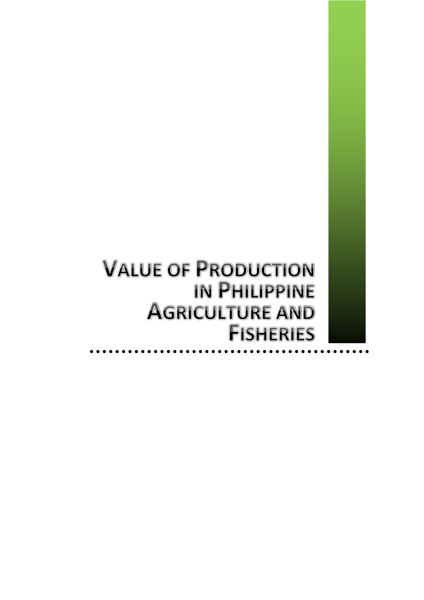**VALUE OF PRODUCTION IN PHILIPPINE AGRICULTURE AND FISHERIES**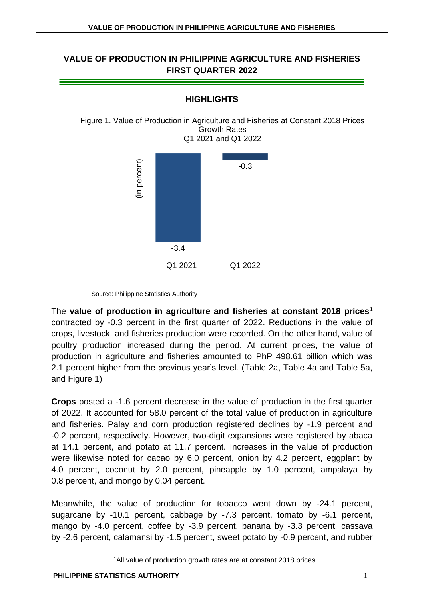

**HIGHLIGHTS**

Figure 1. Value of Production in Agriculture and Fisheries at Constant 2018 Prices Growth Rates Q1 2021 and Q1 2022

Source: Philippine Statistics Authority

The **value of production in agriculture and fisheries at constant 2018 prices<sup>1</sup>** contracted by -0.3 percent in the first quarter of 2022. Reductions in the value of crops, livestock, and fisheries production were recorded. On the other hand, value of poultry production increased during the period. At current prices, the value of production in agriculture and fisheries amounted to PhP 498.61 billion which was 2.1 percent higher from the previous year's level. (Table 2a, Table 4a and Table 5a, and Figure 1)

**Crops** posted a -1.6 percent decrease in the value of production in the first quarter of 2022. It accounted for 58.0 percent of the total value of production in agriculture and fisheries. Palay and corn production registered declines by -1.9 percent and -0.2 percent, respectively. However, two-digit expansions were registered by abaca at 14.1 percent, and potato at 11.7 percent. Increases in the value of production were likewise noted for cacao by 6.0 percent, onion by 4.2 percent, eggplant by 4.0 percent, coconut by 2.0 percent, pineapple by 1.0 percent, ampalaya by 0.8 percent, and mongo by 0.04 percent.

Meanwhile, the value of production for tobacco went down by -24.1 percent, sugarcane by -10.1 percent, cabbage by -7.3 percent, tomato by -6.1 percent, mango by -4.0 percent, coffee by -3.9 percent, banana by -3.3 percent, cassava by -2.6 percent, calamansi by -1.5 percent, sweet potato by -0.9 percent, and rubber

<sup>1</sup>All value of production growth rates are at constant 2018 prices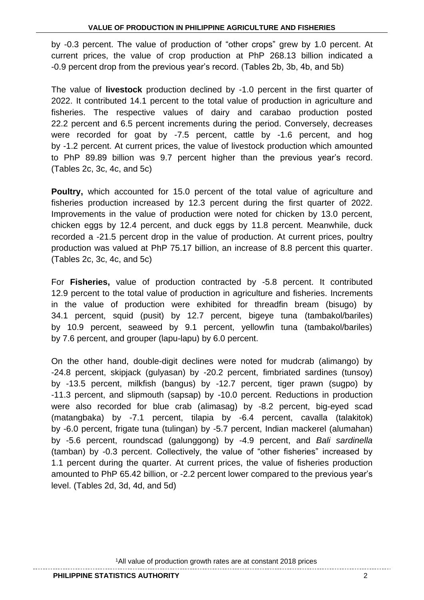by -0.3 percent. The value of production of "other crops" grew by 1.0 percent. At current prices, the value of crop production at PhP 268.13 billion indicated a -0.9 percent drop from the previous year's record. (Tables 2b, 3b, 4b, and 5b)

The value of **livestock** production declined by -1.0 percent in the first quarter of 2022. It contributed 14.1 percent to the total value of production in agriculture and fisheries. The respective values of dairy and carabao production posted 22.2 percent and 6.5 percent increments during the period. Conversely, decreases were recorded for goat by -7.5 percent, cattle by -1.6 percent, and hog by -1.2 percent. At current prices, the value of livestock production which amounted to PhP 89.89 billion was 9.7 percent higher than the previous year's record. (Tables 2c, 3c, 4c, and 5c)

Poultry, which accounted for 15.0 percent of the total value of agriculture and fisheries production increased by 12.3 percent during the first quarter of 2022. Improvements in the value of production were noted for chicken by 13.0 percent, chicken eggs by 12.4 percent, and duck eggs by 11.8 percent. Meanwhile, duck recorded a -21.5 percent drop in the value of production. At current prices, poultry production was valued at PhP 75.17 billion, an increase of 8.8 percent this quarter. (Tables 2c, 3c, 4c, and 5c)

For **Fisheries,** value of production contracted by -5.8 percent. It contributed 12.9 percent to the total value of production in agriculture and fisheries. Increments in the value of production were exhibited for threadfin bream (bisugo) by 34.1 percent, squid (pusit) by 12.7 percent, bigeye tuna (tambakol/bariles) by 10.9 percent, seaweed by 9.1 percent, yellowfin tuna (tambakol/bariles) by 7.6 percent, and grouper (lapu-lapu) by 6.0 percent.

On the other hand, double-digit declines were noted for mudcrab (alimango) by -24.8 percent, skipjack (gulyasan) by -20.2 percent, fimbriated sardines (tunsoy) by -13.5 percent, milkfish (bangus) by -12.7 percent, tiger prawn (sugpo) by -11.3 percent, and slipmouth (sapsap) by -10.0 percent. Reductions in production were also recorded for blue crab (alimasag) by -8.2 percent, big-eyed scad (matangbaka) by -7.1 percent, tilapia by -6.4 percent, cavalla (talakitok) by -6.0 percent, frigate tuna (tulingan) by -5.7 percent, Indian mackerel (alumahan) by -5.6 percent, roundscad (galunggong) by -4.9 percent, and *Bali sardinella* (tamban) by -0.3 percent. Collectively, the value of "other fisheries" increased by 1.1 percent during the quarter. At current prices, the value of fisheries production amounted to PhP 65.42 billion, or -2.2 percent lower compared to the previous year's level. (Tables 2d, 3d, 4d, and 5d)

1All value of production growth rates are at constant 2018 prices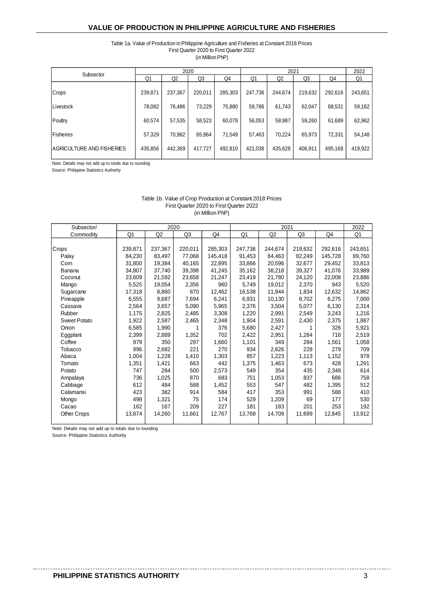#### Table 1a. Value of Production in Philippine Agriculture and Fisheries at Constant 2018 Prices First Quarter 2020 to First Quarter 2022 (in Million PhP)

| Subsector                 |         |         | 2020    |         |         | 2022    |         |         |         |
|---------------------------|---------|---------|---------|---------|---------|---------|---------|---------|---------|
|                           | Q1      | Q2      | Q3      | Q4      | Q1      | Q2      | Q3      | Q4      | Q1      |
| Crops                     | 239,871 | 237,367 | 220,011 | 285,303 | 247,736 | 244,674 | 219,632 | 292,616 | 243,651 |
| Livestock                 | 78,082  | 76,486  | 73,229  | 75,880  | 59,786  | 61,743  | 62,047  | 68,531  | 59,162  |
| Poultry                   | 60,574  | 57,535  | 58,523  | 60,078  | 56,053  | 58,987  | 59,260  | 61,689  | 62,962  |
| Fisheries                 | 57,329  | 70,982  | 65,964  | 71.549  | 57,463  | 70,224  | 65,973  | 72,331  | 54,148  |
| AGRICULTURE AND FISHERIES | 435,856 | 442,369 | 417,727 | 492,810 | 421,038 | 435,628 | 406.911 | 495,168 | 419,922 |

Note: Details may not add up to totals due to rounding

Source: Philippine Statistics Authority

| Subsector/          |         | 2020           |                |         |         | 2021    |         |         | 2022    |
|---------------------|---------|----------------|----------------|---------|---------|---------|---------|---------|---------|
| Commodity           | Q1      | Q <sub>2</sub> | Q <sub>3</sub> | Q4      | Q1      | Q2      | Q3      | Q4      | Q1      |
|                     |         |                |                |         |         |         |         |         |         |
| Crops               | 239,871 | 237,367        | 220,011        | 285,303 | 247,736 | 244,674 | 219,632 | 292,616 | 243,651 |
| Palay               | 84,230  | 83,497         | 77,068         | 145,418 | 91,453  | 84,463  | 82,249  | 145,728 | 89,760  |
| Corn                | 31,800  | 19,384         | 40.165         | 22,895  | 33.866  | 20.596  | 32,677  | 29,452  | 33,813  |
| Banana              | 34,807  | 37,740         | 39,398         | 41,245  | 35,162  | 38,218  | 39,327  | 41,076  | 33,989  |
| Coconut             | 23,609  | 21,592         | 23,658         | 21,247  | 23,419  | 21,780  | 24,120  | 22,008  | 23,886  |
| Mango               | 5,525   | 19,054         | 2,356          | 960     | 5,749   | 19,012  | 2,370   | 943     | 5,520   |
| Sugarcane           | 17,318  | 8,860          | 870            | 12,462  | 16,538  | 11,944  | 1,834   | 12,632  | 14,862  |
| Pineapple           | 6,555   | 9,687          | 7,694          | 6,241   | 6,931   | 10,130  | 8,702   | 6,275   | 7,000   |
| Cassava             | 2,564   | 3,657          | 5,090          | 5,965   | 2,376   | 3,504   | 5,077   | 6,130   | 2,314   |
| Rubber              | 1,175   | 2,825          | 2,485          | 3,308   | 1,220   | 2,991   | 2,549   | 3,243   | 1,216   |
| <b>Sweet Potato</b> | 1,922   | 2,587          | 2,465          | 2,348   | 1,904   | 2,591   | 2,430   | 2,375   | 1,887   |
| Onion               | 6,585   | 1,990          |                | 376     | 5,680   | 2,427   |         | 326     | 5,921   |
| Eggplant            | 2,399   | 2,889          | 1,352          | 702     | 2,422   | 2,951   | 1,284   | 716     | 2,519   |
| Coffee              | 979     | 350            | 297            | 1,660   | 1,101   | 349     | 284     | 1,561   | 1,058   |
| Tobacco             | 996     | 2,682          | 221            | 270     | 934     | 2,626   | 228     | 279     | 709     |
| Abaca               | 1,004   | 1,228          | 1,410          | 1,303   | 857     | 1,223   | 1,113   | 1,152   | 978     |
| Tomato              | 1,351   | 1,421          | 663            | 442     | 1,375   | 1,463   | 673     | 428     | 1,291   |
| Potato              | 747     | 284            | 500            | 2,573   | 549     | 354     | 435     | 2,348   | 614     |
| Ampalaya            | 736     | 1,025          | 870            | 683     | 751     | 1,053   | 837     | 686     | 758     |
| Cabbage             | 612     | 484            | 588            | 1,452   | 553     | 547     | 482     | 1,395   | 512     |
| Calamansi           | 423     | 382            | 914            | 584     | 417     | 353     | 991     | 588     | 410     |
| Mongo               | 498     | 1,321          | 75             | 174     | 529     | 1,209   | 69      | 177     | 530     |
| Cacao               | 162     | 167            | 209            | 227     | 181     | 183     | 201     | 253     | 192     |
| Other Crops         | 13,874  | 14,260         | 11,661         | 12,767  | 13,768  | 14,709  | 11,699  | 12,845  | 13,912  |
|                     |         |                |                |         |         |         |         |         |         |

#### (in Million PhP) First Quarter 2020 to First Quarter 2022 Table 1b. Value of Crop Production at Constant 2018 Prices

Note: Details may not add up to totals due to rounding

Source: Philippine Statistics Authority

-----------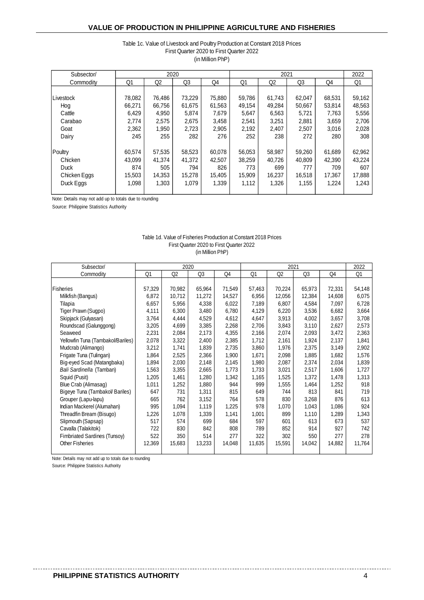#### (in Million PhP) First Quarter 2020 to First Quarter 2022 Table 1c. Value of Livestock and Poultry Production at Constant 2018 Prices

| Subsector/   |        | 2020   |                |        |        | 2021           |                |        | 2022   |
|--------------|--------|--------|----------------|--------|--------|----------------|----------------|--------|--------|
| Commodity    | Q1     | Q2     | Q <sub>3</sub> | Q4     | Q1     | Q <sub>2</sub> | Q <sub>3</sub> | Q4     | Q1     |
|              |        |        |                |        |        |                |                |        |        |
| Livestock    | 78,082 | 76,486 | 73,229         | 75,880 | 59,786 | 61,743         | 62,047         | 68,531 | 59,162 |
| Hog          | 66,271 | 66,756 | 61,675         | 61,563 | 49,154 | 49,284         | 50,667         | 53,814 | 48,563 |
| Cattle       | 6,429  | 4,950  | 5,874          | 7,679  | 5,647  | 6,563          | 5,721          | 7,763  | 5,556  |
| Carabao      | 2,774  | 2,575  | 2,675          | 3,458  | 2,541  | 3,251          | 2,881          | 3,659  | 2,706  |
| Goat         | 2,362  | 1,950  | 2,723          | 2,905  | 2,192  | 2,407          | 2,507          | 3,016  | 2,028  |
| Dairy        | 245    | 255    | 282            | 276    | 252    | 238            | 272            | 280    | 308    |
|              |        |        |                |        |        |                |                |        |        |
| Poultry      | 60,574 | 57,535 | 58,523         | 60.078 | 56,053 | 58.987         | 59.260         | 61,689 | 62,962 |
| Chicken      | 43,099 | 41.374 | 41.372         | 42,507 | 38,259 | 40.726         | 40,809         | 42,390 | 43,224 |
| <b>Duck</b>  | 874    | 505    | 794            | 826    | 773    | 699            | 777            | 709    | 607    |
| Chicken Eggs | 15,503 | 14.353 | 15.278         | 15,405 | 15,909 | 16,237         | 16,518         | 17.367 | 17,888 |
| Duck Eggs    | 1,098  | 1,303  | 1,079          | 1,339  | 1,112  | 1,326          | 1,155          | 1,224  | 1,243  |
|              |        |        |                |        |        |                |                |        |        |

Note: Details may not add up to totals due to rounding

Source: Philippine Statistics Authority

#### Table 1d. Value of Fisheries Production at Constant 2018 Prices First Quarter 2020 to First Quarter 2022 (in Million PhP)

| Subsector/                        |        | 2020   |                |        |        | 2021   |                |        | 2022   |
|-----------------------------------|--------|--------|----------------|--------|--------|--------|----------------|--------|--------|
| Commodity                         | Q1     | Q2     | Q <sub>3</sub> | Q4     | Q1     | Q2     | Q <sub>3</sub> | Q4     | Q1     |
|                                   |        |        |                |        |        |        |                |        |        |
| Fisheries                         | 57,329 | 70,982 | 65,964         | 71,549 | 57,463 | 70,224 | 65,973         | 72,331 | 54,148 |
| Milkfish (Bangus)                 | 6,872  | 10,712 | 11,272         | 14,527 | 6,956  | 12,056 | 12,384         | 14,608 | 6,075  |
| Tilapia                           | 6,657  | 5,956  | 4,338          | 6,022  | 7,189  | 6,807  | 4,584          | 7,097  | 6,728  |
| Tiger Prawn (Sugpo)               | 4,111  | 6,300  | 3,480          | 6,780  | 4,129  | 6,220  | 3,536          | 6,682  | 3,664  |
| Skipjack (Gulyasan)               | 3,764  | 4,444  | 4,529          | 4,612  | 4,647  | 3,913  | 4,002          | 3,657  | 3,708  |
| Roundscad (Galunggong)            | 3,205  | 4,699  | 3,385          | 2,268  | 2,706  | 3,843  | 3,110          | 2,627  | 2,573  |
| Seaweed                           | 2,231  | 2,084  | 2,173          | 4,355  | 2,166  | 2,074  | 2,093          | 3,472  | 2,363  |
| Yellowfin Tuna (Tambakol/Bariles) | 2,078  | 3,322  | 2,400          | 2,385  | 1,712  | 2,161  | 1,924          | 2,137  | 1,841  |
| Mudcrab (Alimango)                | 3,212  | 1,741  | 1,839          | 2,735  | 3,860  | 1,976  | 2,375          | 3,149  | 2,902  |
| Frigate Tuna (Tulingan)           | 1,864  | 2,525  | 2,366          | 1,900  | 1,671  | 2,098  | 1,885          | 1,682  | 1,576  |
| Big-eyed Scad (Matangbaka)        | 1,894  | 2,030  | 2,148          | 2,145  | 1,980  | 2,087  | 2,374          | 2,034  | 1,839  |
| Bali Sardinella (Tamban)          | 1,563  | 3,355  | 2,665          | 1,773  | 1,733  | 3,021  | 2,517          | 1,606  | 1,727  |
| Squid (Pusit)                     | 1,205  | 1,461  | 1,280          | 1,342  | 1,165  | 1,525  | 1,372          | 1,478  | 1,313  |
| Blue Crab (Alimasag)              | 1,011  | 1,252  | 1,880          | 944    | 999    | 1,555  | 1,464          | 1,252  | 918    |
| Bigeye Tuna (Tambakol/ Bariles)   | 647    | 731    | 1,311          | 815    | 649    | 744    | 813            | 841    | 719    |
| Grouper (Lapu-lapu)               | 665    | 762    | 3,152          | 764    | 578    | 830    | 3,268          | 876    | 613    |
| Indian Mackerel (Alumahan)        | 995    | 1,094  | 1,119          | 1,225  | 978    | 1,070  | 1,043          | 1,086  | 924    |
| Threadfin Bream (Bisugo)          | 1,226  | 1,078  | 1,339          | 1,141  | 1,001  | 899    | 1,110          | 1,289  | 1,343  |
| Slipmouth (Sapsap)                | 517    | 574    | 699            | 684    | 597    | 601    | 613            | 673    | 537    |
| Cavalla (Talakitok)               | 722    | 830    | 842            | 808    | 789    | 852    | 914            | 927    | 742    |
| Fimbriated Sardines (Tunsoy)      | 522    | 350    | 514            | 277    | 322    | 302    | 550            | 277    | 278    |
| <b>Other Fisheries</b>            | 12,369 | 15,683 | 13,233         | 14,048 | 11,635 | 15,591 | 14,042         | 14,882 | 11,764 |
|                                   |        |        |                |        |        |        |                |        |        |

Note: Details may not add up to totals due to rounding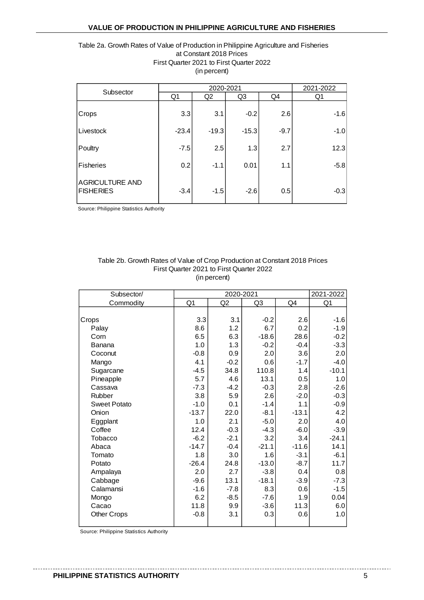#### Table 2a. Growth Rates of Value of Production in Philippine Agriculture and Fisheries at Constant 2018 Prices First Quarter 2021 to First Quarter 2022 (in percent)

| Subsector                                  |                | 2020-2021      |         |        |        |  |  |  |
|--------------------------------------------|----------------|----------------|---------|--------|--------|--|--|--|
|                                            | Q <sub>1</sub> | Q <sub>2</sub> | Q3      | Q4     | Q1     |  |  |  |
| Crops                                      | 3.3            | 3.1            | $-0.2$  | 2.6    | $-1.6$ |  |  |  |
| Livestock                                  | $-23.4$        | $-19.3$        | $-15.3$ | $-9.7$ | $-1.0$ |  |  |  |
| Poultry                                    | $-7.5$         | 2.5            | 1.3     | 2.7    | 12.3   |  |  |  |
| <b>Fisheries</b>                           | 0.2            | $-1.1$         | 0.01    | 1.1    | $-5.8$ |  |  |  |
| <b>AGRICULTURE AND</b><br><b>FISHERIES</b> | $-3.4$         | $-1.5$         | $-2.6$  | 0.5    | $-0.3$ |  |  |  |

Source: Philippine Statistics Authority

#### Table 2b. Growth Rates of Value of Crop Production at Constant 2018 Prices First Quarter 2021 to First Quarter 2022 (in percent)

| Subsector/          |         | 2020-2021      |                |         | 2021-2022      |
|---------------------|---------|----------------|----------------|---------|----------------|
| Commodity           | Q1      | Q <sub>2</sub> | Q <sub>3</sub> | Q4      | Q <sub>1</sub> |
|                     |         |                |                |         |                |
| Crops               | 3.3     | 3.1            | $-0.2$         | 2.6     | $-1.6$         |
| Palay               | 8.6     | 1.2            | 6.7            | 0.2     | $-1.9$         |
| Corn                | 6.5     | 6.3            | $-18.6$        | 28.6    | $-0.2$         |
| Banana              | 1.0     | 1.3            | $-0.2$         | $-0.4$  | $-3.3$         |
| Coconut             | $-0.8$  | 0.9            | 2.0            | 3.6     | 2.0            |
| Mango               | 4.1     | $-0.2$         | 0.6            | $-1.7$  | $-4.0$         |
| Sugarcane           | $-4.5$  | 34.8           | 110.8          | 1.4     | $-10.1$        |
| Pineapple           | 5.7     | 4.6            | 13.1           | 0.5     | 1.0            |
| Cassava             | $-7.3$  | $-4.2$         | $-0.3$         | 2.8     | $-2.6$         |
| Rubber              | 3.8     | 5.9            | 2.6            | $-2.0$  | $-0.3$         |
| <b>Sweet Potato</b> | $-1.0$  | 0.1            | $-1.4$         | 1.1     | $-0.9$         |
| Onion               | $-13.7$ | 22.0           | $-8.1$         | $-13.1$ | 4.2            |
| Eggplant            | 1.0     | 2.1            | $-5.0$         | 2.0     | 4.0            |
| Coffee              | 12.4    | $-0.3$         | $-4.3$         | $-6.0$  | $-3.9$         |
| <b>Tobacco</b>      | $-6.2$  | $-2.1$         | 3.2            | 3.4     | $-24.1$        |
| Abaca               | $-14.7$ | $-0.4$         | $-21.1$        | $-11.6$ | 14.1           |
| Tomato              | 1.8     | 3.0            | 1.6            | $-3.1$  | $-6.1$         |
| Potato              | $-26.4$ | 24.8           | $-13.0$        | $-8.7$  | 11.7           |
| Ampalaya            | 2.0     | 2.7            | $-3.8$         | 0.4     | 0.8            |
| Cabbage             | $-9.6$  | 13.1           | $-18.1$        | $-3.9$  | $-7.3$         |
| Calamansi           | $-1.6$  | $-7.8$         | 8.3            | 0.6     | $-1.5$         |
| Mongo               | 6.2     | $-8.5$         | $-7.6$         | 1.9     | 0.04           |
| Cacao               | 11.8    | 9.9            | $-3.6$         | 11.3    | 6.0            |
| <b>Other Crops</b>  | $-0.8$  | 3.1            | 0.3            | 0.6     | 1.0            |
|                     |         |                |                |         |                |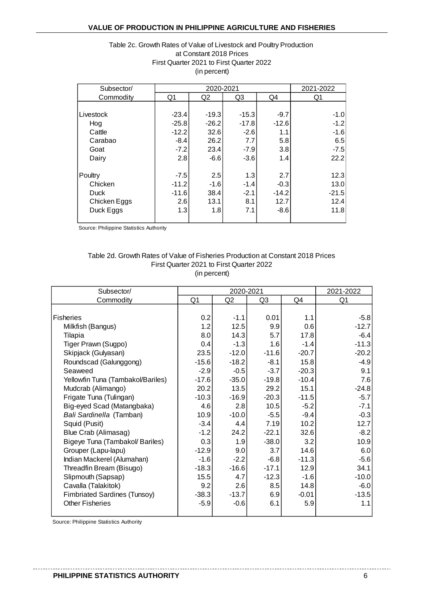#### Table 2c. Growth Rates of Value of Livestock and Poultry Production First Quarter 2021 to First Quarter 2022 (in percent) at Constant 2018 Prices

| Subsector/   |         | 2021-2022      |                |         |         |
|--------------|---------|----------------|----------------|---------|---------|
| Commodity    | Q1      | Q <sub>2</sub> | Q <sub>3</sub> | Q4      | Q1      |
|              |         |                |                |         |         |
| Livestock    | $-23.4$ | $-19.3$        | $-15.3$        | $-9.7$  | $-1.0$  |
| Hog          | $-25.8$ | $-26.2$        | $-17.8$        | $-12.6$ | $-1.2$  |
| Cattle       | $-12.2$ | 32.6           | $-2.6$         | 1.1     | $-1.6$  |
| Carabao      | $-8.4$  | 26.2           | 7.7            | 5.8     | 6.5     |
| Goat         | $-7.2$  | 23.4           | $-7.9$         | 3.8     | $-7.5$  |
| Dairy        | 2.8     | $-6.6$         | $-3.6$         | 1.4     | 22.2    |
| Poultry      | $-7.5$  | 2.5            | 1.3            | 2.7     | 12.3    |
| Chicken      | $-11.2$ | $-1.6$         | $-1.4$         | $-0.3$  | 13.0    |
| <b>Duck</b>  | $-11.6$ | 38.4           | $-2.1$         | $-14.2$ | $-21.5$ |
| Chicken Eggs | 2.6     | 13.1           | 8.1            | 12.7    | 12.4    |
| Duck Eggs    | 1.3     | 1.8            | 7.1            | $-8.6$  | 11.8    |

Source: Philippine Statistics Authority

#### Table 2d. Growth Rates of Value of Fisheries Production at Constant 2018 Prices First Quarter 2021 to First Quarter 2022 (in percent)

| Subsector/                          |                | 2020-2021      |         |         | 2021-2022      |
|-------------------------------------|----------------|----------------|---------|---------|----------------|
| Commodity                           | Q <sub>1</sub> | Q <sub>2</sub> | Q3      | Q4      | Q <sub>1</sub> |
|                                     |                |                |         |         |                |
| <b>Fisheries</b>                    | 0.2            | $-1.1$         | 0.01    | 1.1     | $-5.8$         |
| Milkfish (Bangus)                   | 1.2            | 12.5           | 9.9     | 0.6     | $-12.7$        |
| Tilapia                             | 8.0            | 14.3           | 5.7     | 17.8    | $-6.4$         |
| Tiger Prawn (Sugpo)                 | 0.4            | $-1.3$         | 1.6     | $-1.4$  | $-11.3$        |
| Skipjack (Gulyasan)                 | 23.5           | $-12.0$        | $-11.6$ | $-20.7$ | $-20.2$        |
| Roundscad (Galunggong)              | $-15.6$        | $-18.2$        | $-8.1$  | 15.8    | $-4.9$         |
| Seaweed                             | $-2.9$         | $-0.5$         | $-3.7$  | $-20.3$ | 9.1            |
| Yellowfin Tuna (Tambakol/Bariles)   | $-17.6$        | $-35.0$        | $-19.8$ | $-10.4$ | 7.6            |
| Mudcrab (Alimango)                  | 20.2           | 13.5           | 29.2    | 15.1    | $-24.8$        |
| Frigate Tuna (Tulingan)             | $-10.3$        | $-16.9$        | $-20.3$ | $-11.5$ | $-5.7$         |
| Big-eyed Scad (Matangbaka)          | 4.6            | 2.8            | 10.5    | $-5.2$  | $-7.1$         |
| Bali Sardinella (Tamban)            | 10.9           | $-10.0$        | $-5.5$  | $-9.4$  | $-0.3$         |
| Squid (Pusit)                       | $-3.4$         | 4.4            | 7.19    | 10.2    | 12.7           |
| Blue Crab (Alimasag)                | $-1.2$         | 24.2           | $-22.1$ | 32.6    | $-8.2$         |
| Bigeye Tuna (Tambakol/ Bariles)     | 0.3            | 1.9            | $-38.0$ | 3.2     | 10.9           |
| Grouper (Lapu-lapu)                 | $-12.9$        | 9.0            | 3.7     | 14.6    | 6.0            |
| Indian Mackerel (Alumahan)          | $-1.6$         | $-2.2$         | $-6.8$  | $-11.3$ | $-5.6$         |
| Threadfin Bream (Bisugo)            | $-18.3$        | $-16.6$        | $-17.1$ | 12.9    | 34.1           |
| Slipmouth (Sapsap)                  | 15.5           | 4.7            | $-12.3$ | $-1.6$  | $-10.0$        |
| Cavalla (Talakitok)                 | 9.2            | 2.6            | 8.5     | 14.8    | $-6.0$         |
| <b>Fimbriated Sardines (Tunsoy)</b> | $-38.3$        | $-13.7$        | 6.9     | $-0.01$ | $-13.5$        |
| <b>Other Fisheries</b>              | $-5.9$         | $-0.6$         | 6.1     | 5.9     | 1.1            |
|                                     |                |                |         |         |                |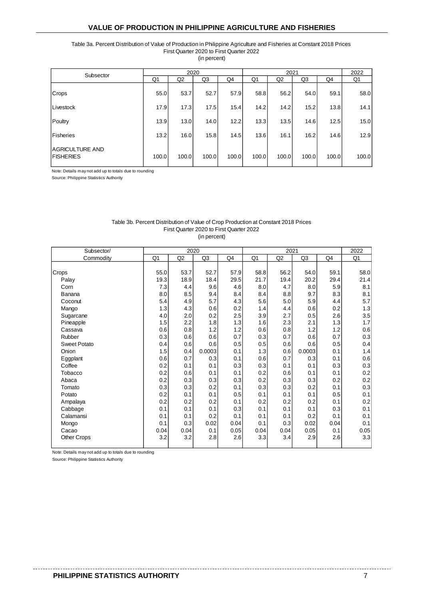Table 3a. Percent Distribution of Value of Production in Philippine Agriculture and Fisheries at Constant 2018 Prices First Quarter 2020 to First Quarter 2022

(in percent)

| Subsector                     |       | 2020           |       |       |       | 2021           |       |       | 2022  |
|-------------------------------|-------|----------------|-------|-------|-------|----------------|-------|-------|-------|
|                               | Q1    | Q <sub>2</sub> | Q3    | Q4    | Q1    | Q <sub>2</sub> | Q3    | Q4    | Q1    |
| Crops                         | 55.0  | 53.7           | 52.7  | 57.9  | 58.8  | 56.2           | 54.0  | 59.1  | 58.0  |
| Livestock                     | 17.9  | 17.3           | 17.5  | 15.4  | 14.2  | 14.2           | 15.2  | 13.8  | 14.1  |
| Poultry                       | 13.9  | 13.0           | 14.0  | 12.2  | 13.3  | 13.5           | 14.6  | 12.5  | 15.0  |
| Fisheries                     | 13.2  | 16.0           | 15.8  | 14.5  | 13.6  | 16.1           | 16.2  | 14.6  | 12.9  |
| AGRICULTURE AND<br>IFISHERIES | 100.0 | 100.0          | 100.0 | 100.0 | 100.0 | 100.0          | 100.0 | 100.0 | 100.0 |

Note: Details may not add up to totals due to rounding

Source: Philippine Statistics Authority

#### First Quarter 2020 to First Quarter 2022 Table 3b. Percent Distribution of Value of Crop Production at Constant 2018 Prices

(in percent)

| Subsector/          |      | 2020 |        |      |      | 2021 |                |      | 2022    |
|---------------------|------|------|--------|------|------|------|----------------|------|---------|
| Commodity           | Q1   | Q2   | Q3     | Q4   | Q1   | Q2   | Q <sub>3</sub> | Q4   | Q1      |
|                     |      |      |        |      |      |      |                |      |         |
| Crops               | 55.0 | 53.7 | 52.7   | 57.9 | 58.8 | 56.2 | 54.0           | 59.1 | 58.0    |
| Palay               | 19.3 | 18.9 | 18.4   | 29.5 | 21.7 | 19.4 | 20.2           | 29.4 | 21.4    |
| Corn                | 7.3  | 4.4  | 9.6    | 4.6  | 8.0  | 4.7  | 8.0            | 5.9  | 8.1     |
| Banana              | 8.0  | 8.5  | 9.4    | 8.4  | 8.4  | 8.8  | 9.7            | 8.3  | 8.1     |
| Coconut             | 5.4  | 4.9  | 5.7    | 4.3  | 5.6  | 5.0  | 5.9            | 4.4  | 5.7     |
| Mango               | 1.3  | 4.3  | 0.6    | 0.2  | 1.4  | 4.4  | 0.6            | 0.2  | 1.3     |
| Sugarcane           | 4.0  | 2.0  | 0.2    | 2.5  | 3.9  | 2.7  | 0.5            | 2.6  | 3.5     |
| Pineapple           | 1.5  | 2.2  | 1.8    | 1.3  | 1.6  | 2.3  | 2.1            | 1.3  | 1.7     |
| Cassava             | 0.6  | 0.8  | 1.2    | 1.2  | 0.6  | 0.8  | 1.2            | 1.2  | 0.6     |
| Rubber              | 0.3  | 0.6  | 0.6    | 0.7  | 0.3  | 0.7  | 0.6            | 0.7  | 0.3     |
| <b>Sweet Potato</b> | 0.4  | 0.6  | 0.6    | 0.5  | 0.5  | 0.6  | 0.6            | 0.5  | 0.4     |
| Onion               | 1.5  | 0.4  | 0.0003 | 0.1  | 1.3  | 0.6  | 0.0003         | 0.1  | 1.4     |
| Eggplant            | 0.6  | 0.7  | 0.3    | 0.1  | 0.6  | 0.7  | 0.3            | 0.1  | 0.6     |
| Coffee              | 0.2  | 0.1  | 0.1    | 0.3  | 0.3  | 0.1  | 0.1            | 0.3  | 0.3     |
| Tobacco             | 0.2  | 0.6  | 0.1    | 0.1  | 0.2  | 0.6  | 0.1            | 0.1  | $0.2\,$ |
| Abaca               | 0.2  | 0.3  | 0.3    | 0.3  | 0.2  | 0.3  | 0.3            | 0.2  | 0.2     |
| Tomato              | 0.3  | 0.3  | 0.2    | 0.1  | 0.3  | 0.3  | 0.2            | 0.1  | 0.3     |
| Potato              | 0.2  | 0.1  | 0.1    | 0.5  | 0.1  | 0.1  | 0.1            | 0.5  | 0.1     |
| Ampalaya            | 0.2  | 0.2  | 0.2    | 0.1  | 0.2  | 0.2  | 0.2            | 0.1  | 0.2     |
| Cabbage             | 0.1  | 0.1  | 0.1    | 0.3  | 0.1  | 0.1  | 0.1            | 0.3  | 0.1     |
| Calamansi           | 0.1  | 0.1  | 0.2    | 0.1  | 0.1  | 0.1  | 0.2            | 0.1  | 0.1     |
| Mongo               | 0.1  | 0.3  | 0.02   | 0.04 | 0.1  | 0.3  | 0.02           | 0.04 | 0.1     |
| Cacao               | 0.04 | 0.04 | 0.1    | 0.05 | 0.04 | 0.04 | 0.05           | 0.1  | 0.05    |
| <b>Other Crops</b>  | 3.2  | 3.2  | 2.8    | 2.6  | 3.3  | 3.4  | 2.9            | 2.6  | 3.3     |

Note: Details may not add up to totals due to rounding

Source: Philippine Statistics Authority

. . . . . . . . . . . .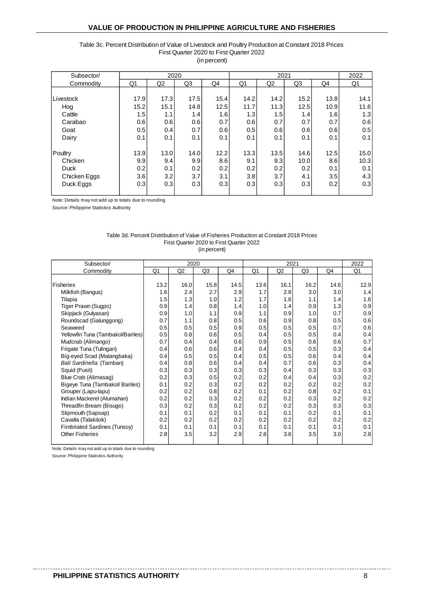#### Table 3c. Percent Distribution of Value of Livestock and Poultry Production at Constant 2018 Prices First Quarter 2020 to First Quarter 2022 (in percent)

| Subsector/   |      | 2020           |      |      |      | 2021 |      |      | 2022 |
|--------------|------|----------------|------|------|------|------|------|------|------|
| Commodity    | Q1   | Q <sub>2</sub> | Q3   | Q4   | Q1   | Q2   | Q3   | Q4   | Q1   |
|              |      |                |      |      |      |      |      |      |      |
| Livestock    | 17.9 | 17.3           | 17.5 | 15.4 | 14.2 | 14.2 | 15.2 | 13.8 | 14.1 |
| Hog          | 15.2 | 15.1           | 14.8 | 12.5 | 11.7 | 11.3 | 12.5 | 10.9 | 11.6 |
| Cattle       | 1.5  | 1.1            | 1.4  | 1.6  | 1.3  | 1.5  | 1.4  | 1.6  | 1.3  |
| Carabao      | 0.6  | 0.6            | 0.6  | 0.7  | 0.6  | 0.7  | 0.7  | 0.7  | 0.6  |
| Goat         | 0.5  | 0.4            | 0.7  | 0.6  | 0.5  | 0.6  | 0.6  | 0.6  | 0.5  |
| Dairy        | 0.1  | 0.1            | 0.1  | 0.1  | 0.1  | 0.1  | 0.1  | 0.1  | 0.1  |
|              |      |                |      |      |      |      |      |      |      |
| Poultry      | 13.9 | 13.0           | 14.0 | 12.2 | 13.3 | 13.5 | 14.6 | 12.5 | 15.0 |
| Chicken      | 9.9  | 9.4            | 9.9  | 8.6  | 9.1  | 9.3  | 10.0 | 8.6  | 10.3 |
| <b>Duck</b>  | 0.2  | 0.1            | 0.2  | 0.2  | 0.2  | 0.2  | 0.2  | 0.1  | 0.1  |
| Chicken Eggs | 3.6  | 3.2            | 3.7  | 3.1  | 3.8  | 3.7  | 4.1  | 3.5  | 4.3  |
| Duck Eggs    | 0.3  | 0.3            | 0.3  | 0.3  | 0.3  | 0.3  | 0.3  | 0.2  | 0.3  |
|              |      |                |      |      |      |      |      |      |      |

Note: Details may not add up to totals due to rounding

Source: Philippine Statistics Authority

#### Table 3d. Percent Distribution of Value of Fisheries Production at Constant 2018 Prices First Quarter 2020 to First Quarter 2022

(in percent)

| Subsector/                        |      | 2020           |                |      |      | 2021 |      |      | 2022 |
|-----------------------------------|------|----------------|----------------|------|------|------|------|------|------|
| Commodity                         | Q1   | Q <sub>2</sub> | Q <sub>3</sub> | Q4   | Q1   | Q2   | Q3   | Q4   | Q1   |
|                                   |      |                |                |      |      |      |      |      |      |
| Fisheries                         | 13.2 | 16.0           | 15.8           | 14.5 | 13.6 | 16.1 | 16.2 | 14.6 | 12.9 |
| Milkfish (Bangus)                 | 1.6  | 2.4            | 2.7            | 2.9  | 1.7  | 2.8  | 3.0  | 3.0  | 1.4  |
| Tilapia                           | 1.5  | 1.3            | 1.0            | 1.2  | 1.7  | 1.6  | 1.1  | 1.4  | 1.6  |
| Tiger Prawn (Sugpo)               | 0.9  | 1.4            | 0.8            | 1.4  | 1.0  | 1.4  | 0.9  | 1.3  | 0.9  |
| Skipjack (Gulyasan)               | 0.9  | 1.0            | 1.1            | 0.9  | 1.1  | 0.9  | 1.0  | 0.7  | 0.9  |
| Roundscad (Galunggong)            | 0.7  | 1.1            | 0.8            | 0.5  | 0.6  | 0.9  | 0.8  | 0.5  | 0.6  |
| Seaweed                           | 0.5  | 0.5            | 0.5            | 0.9  | 0.5  | 0.5  | 0.5  | 0.7  | 0.6  |
| Yellowfin Tuna (Tambakol/Bariles) | 0.5  | 0.8            | 0.6            | 0.5  | 0.4  | 0.5  | 0.5  | 0.4  | 0.4  |
| Mudcrab (Alimango)                | 0.7  | 0.4            | 0.4            | 0.6  | 0.9  | 0.5  | 0.6  | 0.6  | 0.7  |
| Frigate Tuna (Tulingan)           | 0.4  | 0.6            | 0.6            | 0.4  | 0.4  | 0.5  | 0.5  | 0.3  | 0.4  |
| Big-eyed Scad (Matangbaka)        | 0.4  | 0.5            | 0.5            | 0.4  | 0.5  | 0.5  | 0.6  | 0.4  | 0.4  |
| Bali Sardinella (Tamban)          | 0.4  | 0.8            | 0.6            | 0.4  | 0.4  | 0.7  | 0.6  | 0.3  | 0.4  |
| Squid (Pusit)                     | 0.3  | 0.3            | 0.3            | 0.3  | 0.3  | 0.4  | 0.3  | 0.3  | 0.3  |
| Blue Crab (Alimasag)              | 0.2  | 0.3            | 0.5            | 0.2  | 0.2  | 0.4  | 0.4  | 0.3  | 0.2  |
| Bigeye Tuna (Tambakol/ Bariles)   | 0.1  | 0.2            | 0.3            | 0.2  | 0.2  | 0.2  | 0.2  | 0.2  | 0.2  |
| Grouper (Lapu-lapu)               | 0.2  | 0.2            | 0.8            | 0.2  | 0.1  | 0.2  | 0.8  | 0.2  | 0.1  |
| Indian Mackerel (Alumahan)        | 0.2  | 0.2            | 0.3            | 0.2  | 0.2  | 0.2  | 0.3  | 0.2  | 0.2  |
| Threadfin Bream (Bisugo)          | 0.3  | 0.2            | 0.3            | 0.2  | 0.2  | 0.2  | 0.3  | 0.3  | 0.3  |
| Slipmouth (Sapsap)                | 0.1  | 0.1            | 0.2            | 0.1  | 0.1  | 0.1  | 0.2  | 0.1  | 0.1  |
| Cavalla (Talakitok)               | 0.2  | 0.2            | 0.2            | 0.2  | 0.2  | 0.2  | 0.2  | 0.2  | 0.2  |
| Fimbriated Sardines (Tunsoy)      | 0.1  | 0.1            | 0.1            | 0.1  | 0.1  | 0.1  | 0.1  | 0.1  | 0.1  |
| <b>Other Fisheries</b>            | 2.8  | 3.5            | 3.2            | 2.9  | 2.8  | 3.6  | 3.5  | 3.0  | 2.8  |
|                                   |      |                |                |      |      |      |      |      |      |

Note: Details may not add up to totals due to rounding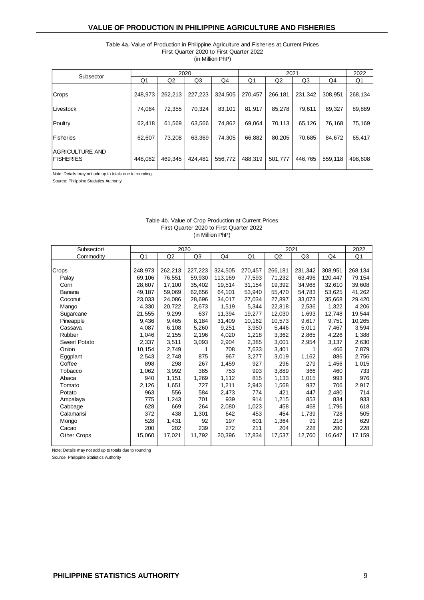#### Table 4a. Value of Production in Philippine Agriculture and Fisheries at Current Prices First Quarter 2020 to First Quarter 2022 (in Million PhP)

|                                      |         |                | 2020    |         |         | 2021           |         |         | 2022    |
|--------------------------------------|---------|----------------|---------|---------|---------|----------------|---------|---------|---------|
| Subsector                            | Q1      | Q <sub>2</sub> | Q3      | Q4      | Q1      | Q <sub>2</sub> | Q3      | Q4      | Q1      |
| <b>Crops</b>                         | 248,973 | 262,213        | 227,223 | 324,505 | 270,457 | 266,181        | 231.342 | 308.951 | 268,134 |
| Livestock                            | 74,084  | 72,355         | 70.324  | 83,101  | 81,917  | 85,278         | 79,611  | 89,327  | 89,889  |
| Poultry                              | 62.418  | 61,569         | 63,566  | 74.862  | 69.064  | 70.113         | 65.126  | 76.168  | 75,169  |
| <b>Fisheries</b>                     | 62,607  | 73,208         | 63,369  | 74,305  | 66,882  | 80,205         | 70,685  | 84,672  | 65,417  |
| IAGRICULTURE AND<br><b>FISHERIES</b> | 448,082 | 469,345        | 424,481 | 556,772 | 488,319 | 501,777        | 446.765 | 559,118 | 498,608 |

Note: Details may not add up to totals due to rounding

Source: Philippine Statistics Authority

#### First Quarter 2020 to First Quarter 2022 (in Million PhP) Table 4b. Value of Crop Production at Current Prices

| Subsector/          |                |                | 2020    |         |                |         | 2021    |         | 2022    |
|---------------------|----------------|----------------|---------|---------|----------------|---------|---------|---------|---------|
| Commodity           | Q <sub>1</sub> | Q <sub>2</sub> | Q3      | Q4      | Q <sub>1</sub> | Q2      | Q3      | Q4      | Q1      |
|                     |                |                |         |         |                |         |         |         |         |
| Crops               | 248,973        | 262,213        | 227,223 | 324,505 | 270,457        | 266,181 | 231,342 | 308,951 | 268,134 |
| Palay               | 69,106         | 76,551         | 59.930  | 113,169 | 77,593         | 71,232  | 63,496  | 120,447 | 79,154  |
| Corn                | 28.607         | 17,100         | 35.402  | 19,514  | 31,154         | 19,392  | 34,968  | 32,610  | 39,608  |
| Banana              | 49,187         | 59,069         | 62,656  | 64,101  | 53,940         | 55,470  | 54,783  | 53,625  | 41,262  |
| Coconut             | 23,033         | 24,086         | 28,696  | 34,017  | 27,034         | 27,897  | 33,073  | 35,668  | 29,420  |
| Mango               | 4,330          | 20,722         | 2,673   | 1,519   | 5,344          | 22,818  | 2,536   | 1,322   | 4,206   |
| Sugarcane           | 21,555         | 9,299          | 637     | 11,394  | 19,277         | 12,030  | 1,693   | 12,748  | 19,544  |
| Pineapple           | 9,436          | 9,465          | 8,184   | 31,409  | 10,162         | 10,573  | 9,617   | 9,751   | 10,265  |
| Cassava             | 4,087          | 6,108          | 5,260   | 9,251   | 3,950          | 5,446   | 5,011   | 7,467   | 3,594   |
| Rubber              | 1,046          | 2,155          | 2,196   | 4,020   | 1,218          | 3,362   | 2,865   | 4,226   | 1,388   |
| <b>Sweet Potato</b> | 2,337          | 3,511          | 3,093   | 2,904   | 2,385          | 3,001   | 2,954   | 3,137   | 2,630   |
| Onion               | 10.154         | 2,749          | 1       | 708     | 7,633          | 3,401   |         | 466     | 7,879   |
| Eggplant            | 2,543          | 2,748          | 875     | 967     | 3,277          | 3,019   | 1,162   | 886     | 2,756   |
| Coffee              | 898            | 298            | 267     | 1,459   | 927            | 296     | 279     | 1,456   | 1,015   |
| Tobacco             | 1,062          | 3,992          | 385     | 753     | 993            | 3,889   | 366     | 460     | 733     |
| Abaca               | 940            | 1,151          | 1,269   | 1,112   | 815            | 1,133   | 1,015   | 993     | 976     |
| Tomato              | 2,126          | 1,651          | 727     | 1,211   | 2,943          | 1,568   | 937     | 706     | 2,917   |
| Potato              | 963            | 556            | 584     | 2,473   | 774            | 421     | 447     | 2,480   | 714     |
| Ampalaya            | 775            | 1,243          | 701     | 939     | 914            | 1,215   | 853     | 834     | 933     |
| Cabbage             | 628            | 669            | 264     | 2,080   | 1,023          | 458     | 468     | 1,796   | 618     |
| Calamansi           | 372            | 438            | 1,301   | 642     | 453            | 454     | 1,739   | 728     | 505     |
| Mongo               | 528            | 1,431          | 92      | 197     | 601            | 1,364   | 91      | 218     | 629     |
| Cacao               | 200            | 202            | 239     | 272     | 211            | 204     | 228     | 280     | 228     |
| Other Crops         | 15,060         | 17,021         | 11,792  | 20,396  | 17,834         | 17,537  | 12,760  | 16,647  | 17,159  |
|                     |                |                |         |         |                |         |         |         |         |

Note: Details may not add up to totals due to rounding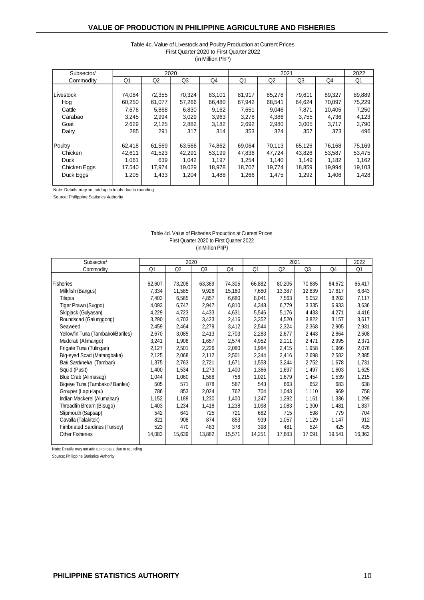#### Table 4c. Value of Livestock and Poultry Production at Current Prices (in Million PhP) First Quarter 2020 to First Quarter 2022

| Subsector/   |                |                | 2020           |        |        | 2021   |                |        | 2022   |
|--------------|----------------|----------------|----------------|--------|--------|--------|----------------|--------|--------|
| Commodity    | Q <sub>1</sub> | Q <sub>2</sub> | Q <sub>3</sub> | Q4     | Q1     | Q2     | Q <sub>3</sub> | Q4     | Q1     |
|              |                |                |                |        |        |        |                |        |        |
| Livestock    | 74,084         | 72,355         | 70,324         | 83,101 | 81,917 | 85,278 | 79,611         | 89,327 | 89,889 |
| Hog          | 60,250         | 61,077         | 57,266         | 66,480 | 67,942 | 68,541 | 64,624         | 70,097 | 75,229 |
| Cattle       | 7,676          | 5,868          | 6,830          | 9,162  | 7,651  | 9,046  | 7,871          | 10,405 | 7,250  |
| Carabao      | 3,245          | 2,994          | 3,029          | 3,963  | 3,278  | 4,386  | 3,755          | 4,736  | 4,123  |
| Goat         | 2,629          | 2,125          | 2,882          | 3,182  | 2,692  | 2,980  | 3,005          | 3,717  | 2,790  |
| Dairy        | 285            | 291            | 317            | 314    | 353    | 324    | 357            | 373    | 496    |
|              |                |                |                |        |        |        |                |        |        |
| Poultry      | 62,418         | 61,569         | 63,566         | 74,862 | 69,064 | 70,113 | 65,126         | 76,168 | 75,169 |
| Chicken      | 42,611         | 41,523         | 42,291         | 53,199 | 47,836 | 47.724 | 43,826         | 53,587 | 53,475 |
| <b>Duck</b>  | 1.061          | 639            | 1.042          | 1,197  | 1.254  | 1,140  | 1,149          | 1.182  | 1,162  |
| Chicken Eggs | 17,540         | 17,974         | 19,029         | 18,978 | 18,707 | 19,774 | 18,859         | 19,994 | 19,103 |
| Duck Eggs    | 1,205          | 1,433          | 1,204          | 1,488  | 1,266  | 1,475  | 1,292          | 1,406  | 1,428  |
|              |                |                |                |        |        |        |                |        |        |

Note: Details may not add up to totals due to rounding

Source: Philippine Statistics Authority

#### First Quarter 2020 to First Quarter 2022 (in Million PhP) Table 4d. Value of Fisheries Production at Current Prices

| Subsector/                          |                | 2020   |                |        |        | 2021           |                |        | 2022   |
|-------------------------------------|----------------|--------|----------------|--------|--------|----------------|----------------|--------|--------|
| Commodity                           | Q <sub>1</sub> | Q2     | Q <sub>3</sub> | Q4     | Q1     | Q <sub>2</sub> | Q <sub>3</sub> | Q4     | Q1     |
|                                     |                |        |                |        |        |                |                |        |        |
| <b>Fisheries</b>                    | 62,607         | 73,208 | 63,369         | 74,305 | 66,882 | 80,205         | 70,685         | 84,672 | 65,417 |
| Milkfish (Bangus)                   | 7,334          | 11,585 | 9,926          | 15,160 | 7,680  | 13,387         | 12,839         | 17,617 | 6,843  |
| Tilapia                             | 7,403          | 6,565  | 4,857          | 6,680  | 8,041  | 7,563          | 5,052          | 8,202  | 7,117  |
| Tiger Prawn (Sugpo)                 | 4,093          | 6,747  | 2,947          | 6,810  | 4,348  | 6,779          | 3,335          | 6,933  | 3,636  |
| Skipjack (Gulyasan)                 | 4,229          | 4,723  | 4,433          | 4,631  | 5,546  | 5,176          | 4,433          | 4,271  | 4,416  |
| Roundscad (Galunggong)              | 3,290          | 4,703  | 3,423          | 2,416  | 3,352  | 4,520          | 3,822          | 3,157  | 3,617  |
| Seaweed                             | 2,459          | 2,464  | 2,279          | 3,412  | 2,544  | 2,324          | 2,368          | 2,905  | 2,931  |
| Yellowfin Tuna (Tambakol/Bariles)   | 2,670          | 3,085  | 2,413          | 2,703  | 2,283  | 2,677          | 2,443          | 2,864  | 2,508  |
| Mudcrab (Alimango)                  | 3,241          | 1,908  | 1,657          | 2,574  | 4,952  | 2,111          | 2,471          | 2,995  | 2,371  |
| Frigate Tuna (Tulingan)             | 2,127          | 2,501  | 2,226          | 2,080  | 1,984  | 2,415          | 1,958          | 1,966  | 2,076  |
| Big-eyed Scad (Matangbaka)          | 2,125          | 2,068  | 2,112          | 2,501  | 2,344  | 2,416          | 2,698          | 2,582  | 2,385  |
| Bali Sardinella (Tamban)            | 1,375          | 2,763  | 2,721          | 1,671  | 1,558  | 3,244          | 2,752          | 1,678  | 1,731  |
| Squid (Pusit)                       | 1,400          | 1,534  | 1,273          | 1,400  | 1,366  | 1,697          | 1,497          | 1,603  | 1,625  |
| Blue Crab (Alimasag)                | 1,044          | 1,060  | 1,588          | 756    | 1,021  | 1,679          | 1,454          | 1,539  | 1,215  |
| Bigeye Tuna (Tambakol/ Bariles)     | 505            | 571    | 878            | 587    | 543    | 663            | 652            | 683    | 638    |
| Grouper (Lapu-lapu)                 | 786            | 853    | 2,024          | 762    | 704    | 1,043          | 1,110          | 969    | 758    |
| Indian Mackerel (Alumahan)          | 1,152          | 1,189  | 1,230          | 1,400  | 1,247  | 1,292          | 1,161          | 1,336  | 1,299  |
| Threadfin Bream (Bisugo)            | 1,403          | 1,234  | 1,418          | 1,238  | 1,098  | 1,083          | 1,300          | 1,481  | 1,837  |
| Slipmouth (Sapsap)                  | 542            | 641    | 725            | 721    | 682    | 715            | 598            | 779    | 704    |
| Cavalla (Talakitok)                 | 821            | 908    | 874            | 853    | 939    | 1,057          | 1,129          | 1,147  | 912    |
| <b>Fimbriated Sardines (Tunsoy)</b> | 523            | 470    | 483            | 378    | 398    | 481            | 524            | 425    | 435    |
| <b>Other Fisheries</b>              | 14,083         | 15,639 | 13,882         | 15,571 | 14,251 | 17,883         | 17,091         | 19,541 | 16,362 |
|                                     |                |        |                |        |        |                |                |        |        |

Note: Details may not add up to totals due to rounding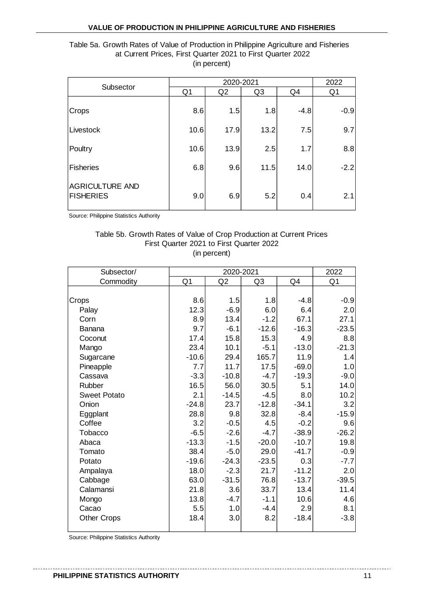# at Current Prices, First Quarter 2021 to First Quarter 2022 (in percent)

| Table 5a. Growth Rates of Value of Production in Philippine Agriculture and Fisheries<br>at Current Prices, First Quarter 2021 to First Quarter 2022 |      |              |      |        |        |  |  |  |  |
|------------------------------------------------------------------------------------------------------------------------------------------------------|------|--------------|------|--------|--------|--|--|--|--|
|                                                                                                                                                      |      | (in percent) |      |        |        |  |  |  |  |
|                                                                                                                                                      |      | 2020-2021    |      |        |        |  |  |  |  |
| Subsector                                                                                                                                            | Q1   | Q2           | Q3   | Q4     | Q1     |  |  |  |  |
| Crops                                                                                                                                                | 8.6  | 1.5          | 1.8  | $-4.8$ | $-0.9$ |  |  |  |  |
| Livestock                                                                                                                                            | 10.6 | 17.9         | 13.2 | 7.5    | 9.7    |  |  |  |  |
| Poultry                                                                                                                                              | 10.6 | 13.9         | 2.5  | 1.7    | 8.8    |  |  |  |  |
| <b>Fisheries</b>                                                                                                                                     | 6.8  | 9.6          | 11.5 | 14.0   | $-2.2$ |  |  |  |  |
| <b>AGRICULTURE AND</b><br>5.2<br>2.1<br><b>FISHERIES</b><br>6.9<br>9.0<br>0.4                                                                        |      |              |      |        |        |  |  |  |  |
| Source: Philippine Statistics Authority                                                                                                              |      |              |      |        |        |  |  |  |  |
| Table 5b. Growth Rates of Value of Crop Production at Current Prices                                                                                 |      |              |      |        |        |  |  |  |  |

# First Quarter 2021 to First Quarter 2022 (in percent)

| Subsector/          |                | 2020-2021 |         |         | 2022           |
|---------------------|----------------|-----------|---------|---------|----------------|
| Commodity           | Q <sub>1</sub> | Q2        | Q3      | Q4      | Q <sub>1</sub> |
|                     |                |           |         |         |                |
| Crops               | 8.6            | 1.5       | 1.8     | $-4.8$  | $-0.9$         |
| Palay               | 12.3           | $-6.9$    | 6.0     | 6.4     | 2.0            |
| Corn                | 8.9            | 13.4      | $-1.2$  | 67.1    | 27.1           |
| Banana              | 9.7            | $-6.1$    | $-12.6$ | $-16.3$ | $-23.5$        |
| Coconut             | 17.4           | 15.8      | 15.3    | 4.9     | 8.8            |
| Mango               | 23.4           | 10.1      | $-5.1$  | $-13.0$ | $-21.3$        |
| Sugarcane           | $-10.6$        | 29.4      | 165.7   | 11.9    | 1.4            |
| Pineapple           | 7.7            | 11.7      | 17.5    | $-69.0$ | 1.0            |
| Cassava             | $-3.3$         | $-10.8$   | $-4.7$  | $-19.3$ | $-9.0$         |
| Rubber              | 16.5           | 56.0      | 30.5    | 5.1     | 14.0           |
| <b>Sweet Potato</b> | 2.1            | $-14.5$   | $-4.5$  | 8.0     | 10.2           |
| Onion               | $-24.8$        | 23.7      | $-12.8$ | $-34.1$ | 3.2            |
| Eggplant            | 28.8           | 9.8       | 32.8    | $-8.4$  | $-15.9$        |
| Coffee              | 3.2            | $-0.5$    | 4.5     | $-0.2$  | 9.6            |
| Tobacco             | $-6.5$         | $-2.6$    | $-4.7$  | $-38.9$ | $-26.2$        |
| Abaca               | $-13.3$        | $-1.5$    | $-20.0$ | $-10.7$ | 19.8           |
| Tomato              | 38.4           | $-5.0$    | 29.0    | $-41.7$ | $-0.9$         |
| Potato              | $-19.6$        | $-24.3$   | $-23.5$ | 0.3     | $-7.7$         |
| Ampalaya            | 18.0           | $-2.3$    | 21.7    | $-11.2$ | 2.0            |
| Cabbage             | 63.0           | $-31.5$   | 76.8    | $-13.7$ | $-39.5$        |
| Calamansi           | 21.8           | 3.6       | 33.7    | 13.4    | 11.4           |
| Mongo               | 13.8           | $-4.7$    | $-1.1$  | 10.6    | 4.6            |
| Cacao               | 5.5            | 1.0       | $-4.4$  | 2.9     | 8.1            |
| <b>Other Crops</b>  | 18.4           | 3.0       | 8.2     | $-18.4$ | $-3.8$         |
|                     |                |           |         |         |                |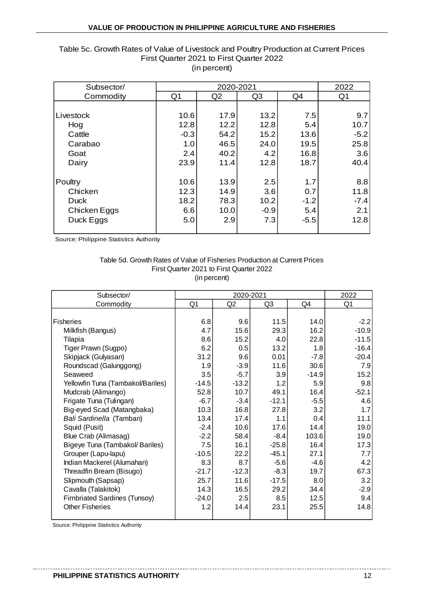| Subsector/   |                | 2020-2021 |                |        | 2022           |
|--------------|----------------|-----------|----------------|--------|----------------|
| Commodity    | Q <sub>1</sub> | Q2        | Q <sub>3</sub> | Q4     | Q <sub>1</sub> |
|              |                |           |                |        |                |
| Livestock    | 10.6           | 17.9      | 13.2           | 7.5    | 9.7            |
| Hog          | 12.8           | 12.2      | 12.8           | 5.4    | 10.7           |
| Cattle       | $-0.3$         | 54.2      | 15.2           | 13.6   | $-5.2$         |
| Carabao      | 1.0            | 46.5      | 24.0           | 19.5   | 25.8           |
| Goat         | 2.4            | 40.2      | 4.2            | 16.8   | 3.6            |
| Dairy        | 23.9           | 11.4      | 12.8           | 18.7   | 40.4           |
|              |                |           |                |        |                |
| Poultry      | 10.6           | 13.9      | 2.5            | 1.7    | 8.8            |
| Chicken      | 12.3           | 14.9      | 3.6            | 0.7    | 11.8           |
| <b>Duck</b>  | 18.2           | 78.3      | 10.2           | $-1.2$ | $-7.4$         |
| Chicken Eggs | 6.6            | 10.0      | $-0.9$         | 5.4    | 2.1            |
| Duck Eggs    | 5.0            | 2.9       | 7.3            | $-5.5$ | 12.8           |
|              |                |           |                |        |                |

#### (in percent) Table 5c. Growth Rates of Value of Livestock and Poultry Production at Current Prices First Quarter 2021 to First Quarter 2022

Source: Philippine Statistics Authority

#### First Quarter 2021 to First Quarter 2022 (in percent) Table 5d. Growth Rates of Value of Fisheries Production at Current Prices

| Subsector/                        |                | 2020-2021      |         |         | 2022    |
|-----------------------------------|----------------|----------------|---------|---------|---------|
| Commodity                         | Q <sub>1</sub> | Q <sub>2</sub> | Q3      | Q4      | Q1      |
|                                   |                |                |         |         |         |
| Fisheries                         | 6.8            | 9.6            | 11.5    | 14.0    | $-2.2$  |
| Milkfish (Bangus)                 | 4.7            | 15.6           | 29.3    | 16.2    | $-10.9$ |
| Tilapia                           | 8.6            | 15.2           | 4.0     | 22.8    | $-11.5$ |
| Tiger Prawn (Sugpo)               | 6.2            | 0.5            | 13.2    | 1.8     | $-16.4$ |
| Skipjack (Gulyasan)               | 31.2           | 9.6            | 0.01    | $-7.8$  | $-20.4$ |
| Roundscad (Galunggong)            | 1.9            | $-3.9$         | 11.6    | 30.6    | 7.9     |
| Seaweed                           | 3.5            | $-5.7$         | 3.9     | $-14.9$ | 15.2    |
| Yellowfin Tuna (Tambakol/Bariles) | $-14.5$        | $-13.2$        | 1.2     | 5.9     | 9.8     |
| Mudcrab (Alimango)                | 52.8           | 10.7           | 49.1    | 16.4    | $-52.1$ |
| Frigate Tuna (Tulingan)           | $-6.7$         | $-3.4$         | $-12.1$ | $-5.5$  | 4.6     |
| Big-eyed Scad (Matangbaka)        | 10.3           | 16.8           | 27.8    | 3.2     | 1.7     |
| Bali Sardinella (Tamban)          | 13.4           | 17.4           | 1.1     | 0.4     | 11.1    |
| Squid (Pusit)                     | $-2.4$         | 10.6           | 17.6    | 14.4    | 19.0    |
| Blue Crab (Alimasag)              | $-2.2$         | 58.4           | $-8.4$  | 103.6   | 19.0    |
| Bigeye Tuna (Tambakol/ Bariles)   | 7.5            | 16.1           | $-25.8$ | 16.4    | 17.3    |
| Grouper (Lapu-lapu)               | $-10.5$        | 22.2           | $-45.1$ | 27.1    | 7.7     |
| Indian Mackerel (Alumahan)        | 8.3            | 8.7            | $-5.6$  | $-4.6$  | 4.2     |
| Threadfin Bream (Bisugo)          | $-21.7$        | $-12.3$        | $-8.3$  | 19.7    | 67.3    |
| Slipmouth (Sapsap)                | 25.7           | 11.6           | $-17.5$ | 8.0     | 3.2     |
| Cavalla (Talakitok)               | 14.3           | 16.5           | 29.2    | 34.4    | $-2.9$  |
| Fimbriated Sardines (Tunsoy)      | $-24.0$        | 2.5            | 8.5     | 12.5    | 9.4     |
| <b>Other Fisheries</b>            | 1.2            | 14.4           | 23.1    | 25.5    | 14.8    |
|                                   |                |                |         |         |         |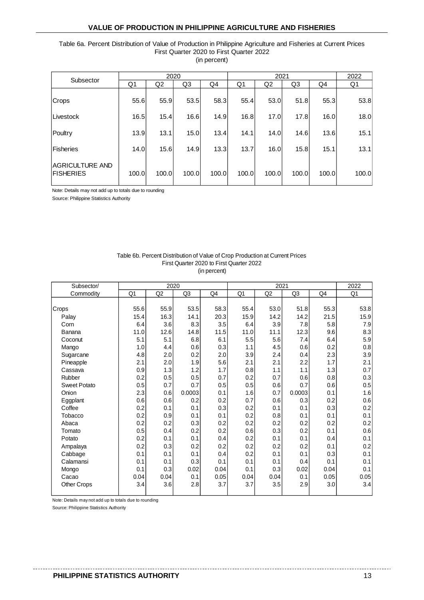# Table 6a. Percent Distribution of Value of Production in Philippine Agriculture and Fisheries at Current Prices First Quarter 2020 to First Quarter 2022

| (in percent) |  |
|--------------|--|
|              |  |

| Subsector                           |                | 2020  |       |       |                | 2021           |                |                | 2022  |
|-------------------------------------|----------------|-------|-------|-------|----------------|----------------|----------------|----------------|-------|
|                                     | Q <sub>1</sub> | Q2    | Q3    | Q4    | Q <sub>1</sub> | Q <sub>2</sub> | Q <sub>3</sub> | Q <sub>4</sub> | Q1    |
| Crops                               | 55.6           | 55.9  | 53.5  | 58.3  | 55.4           | 53.0           | 51.8           | 55.3           | 53.8  |
| Livestock                           | 16.5           | 15.4  | 16.6  | 14.9  | 16.8           | 17.0           | 17.8           | 16.0           | 18.0  |
| Poultry                             | 13.9           | 13.1  | 15.0  | 13.4  | 14.1           | 14.0           | 14.6           | 13.6           | 15.1  |
| Fisheries                           | 14.0           | 15.6  | 14.9  | 13.3  | 13.7           | 16.0           | 15.8           | 15.1           | 13.1  |
| AGRICULTURE AND<br><b>FISHERIES</b> | 100.0          | 100.0 | 100.0 | 100.0 | 100.0          | 100.0          | 100.0          | 100.0          | 100.0 |

Note: Details may not add up to totals due to rounding

Source: Philippine Statistics Authority

| Table 6b. Percent Distribution of Value of Crop Production at Current Prices |
|------------------------------------------------------------------------------|
| First Quarter 2020 to First Quarter 2022                                     |
| (in percent)                                                                 |

| Subsector/          |      | 2020           |                |      |      | 2021           |        |      | 2022 |
|---------------------|------|----------------|----------------|------|------|----------------|--------|------|------|
| Commodity           | Q1   | Q <sub>2</sub> | Q <sub>3</sub> | Q4   | Q1   | Q <sub>2</sub> | Q3     | Q4   | Q1   |
|                     |      |                |                |      |      |                |        |      |      |
| Crops               | 55.6 | 55.9           | 53.5           | 58.3 | 55.4 | 53.0           | 51.8   | 55.3 | 53.8 |
| Palay               | 15.4 | 16.3           | 14.1           | 20.3 | 15.9 | 14.2           | 14.2   | 21.5 | 15.9 |
| Corn                | 6.4  | 3.6            | 8.3            | 3.5  | 6.4  | 3.9            | 7.8    | 5.8  | 7.9  |
| Banana              | 11.0 | 12.6           | 14.8           | 11.5 | 11.0 | 11.1           | 12.3   | 9.6  | 8.3  |
| Coconut             | 5.1  | 5.1            | 6.8            | 6.1  | 5.5  | 5.6            | 7.4    | 6.4  | 5.9  |
| Mango               | 1.0  | 4.4            | 0.6            | 0.3  | 1.1  | 4.5            | 0.6    | 0.2  | 0.8  |
| Sugarcane           | 4.8  | 2.0            | 0.2            | 2.0  | 3.9  | 2.4            | 0.4    | 2.3  | 3.9  |
| Pineapple           | 2.1  | 2.0            | 1.9            | 5.6  | 2.1  | 2.1            | 2.2    | 1.7  | 2.1  |
| Cassava             | 0.9  | 1.3            | 1.2            | 1.7  | 0.8  | 1.1            | 1.1    | 1.3  | 0.7  |
| Rubber              | 0.2  | 0.5            | 0.5            | 0.7  | 0.2  | 0.7            | 0.6    | 0.8  | 0.3  |
| <b>Sweet Potato</b> | 0.5  | 0.7            | 0.7            | 0.5  | 0.5  | 0.6            | 0.7    | 0.6  | 0.5  |
| Onion               | 2.3  | 0.6            | 0.0003         | 0.1  | 1.6  | 0.7            | 0.0003 | 0.1  | 1.6  |
| Eggplant            | 0.6  | 0.6            | 0.2            | 0.2  | 0.7  | 0.6            | 0.3    | 0.2  | 0.6  |
| Coffee              | 0.2  | 0.1            | 0.1            | 0.3  | 0.2  | 0.1            | 0.1    | 0.3  | 0.2  |
| Tobacco             | 0.2  | 0.9            | 0.1            | 0.1  | 0.2  | 0.8            | 0.1    | 0.1  | 0.1  |
| Abaca               | 0.2  | 0.2            | 0.3            | 0.2  | 0.2  | 0.2            | 0.2    | 0.2  | 0.2  |
| Tomato              | 0.5  | 0.4            | 0.2            | 0.2  | 0.6  | 0.3            | 0.2    | 0.1  | 0.6  |
| Potato              | 0.2  | 0.1            | 0.1            | 0.4  | 0.2  | 0.1            | 0.1    | 0.4  | 0.1  |
| Ampalaya            | 0.2  | 0.3            | 0.2            | 0.2  | 0.2  | 0.2            | 0.2    | 0.1  | 0.2  |
| Cabbage             | 0.1  | 0.1            | 0.1            | 0.4  | 0.2  | 0.1            | 0.1    | 0.3  | 0.1  |
| Calamansi           | 0.1  | 0.1            | 0.3            | 0.1  | 0.1  | 0.1            | 0.4    | 0.1  | 0.1  |
| Mongo               | 0.1  | 0.3            | 0.02           | 0.04 | 0.1  | 0.3            | 0.02   | 0.04 | 0.1  |
| Cacao               | 0.04 | 0.04           | 0.1            | 0.05 | 0.04 | 0.04           | 0.1    | 0.05 | 0.05 |
| Other Crops         | 3.4  | 3.6            | 2.8            | 3.7  | 3.7  | 3.5            | 2.9    | 3.0  | 3.4  |
|                     |      |                |                |      |      |                |        |      |      |

Note: Details may not add up to totals due to rounding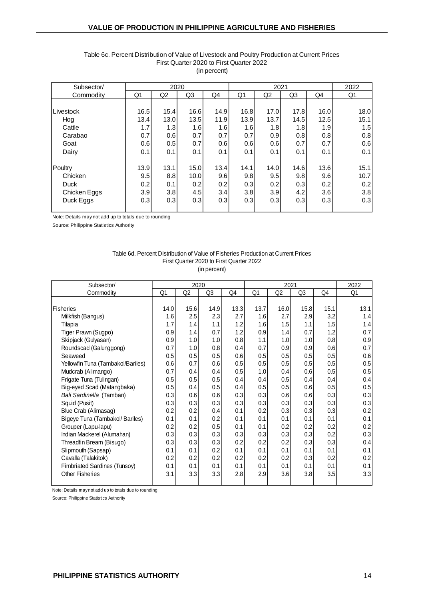| Subsector/   |      | 2020 |      |      |      | 2021 |      |      | 2022 |
|--------------|------|------|------|------|------|------|------|------|------|
| Commodity    | Q1   | Q2   | Q3   | Q4   | Q1   | Q2   | Q3   | Q4   | Q1   |
|              |      |      |      |      |      |      |      |      |      |
| Livestock    | 16.5 | 15.4 | 16.6 | 14.9 | 16.8 | 17.0 | 17.8 | 16.0 | 18.0 |
| Hog          | 13.4 | 13.0 | 13.5 | 11.9 | 13.9 | 13.7 | 14.5 | 12.5 | 15.1 |
| Cattle       | 1.7  | 1.3  | 1.6  | 1.6  | 1.6  | 1.8  | 1.8  | 1.9  | 1.5  |
| Carabao      | 0.7  | 0.6  | 0.7  | 0.7  | 0.7  | 0.9  | 0.8  | 0.8  | 0.8  |
| Goat         | 0.6  | 0.5  | 0.7  | 0.6  | 0.6  | 0.6  | 0.7  | 0.7  | 0.6  |
| Dairy        | 0.1  | 0.1  | 0.1  | 0.1  | 0.1  | 0.1  | 0.1  | 0.1  | 0.1  |
| Poultry      | 13.9 | 13.1 | 15.0 | 13.4 | 14.1 | 14.0 | 14.6 | 13.6 | 15.1 |
| Chicken      | 9.5  | 8.8  | 10.0 | 9.6  | 9.8  | 9.5  | 9.8  | 9.6  | 10.7 |
| Duck         | 0.2  | 0.1  | 0.2  | 0.2  | 0.3  | 0.2  | 0.3  | 0.2  | 0.2  |
| Chicken Eggs | 3.9  | 3.8  | 4.5  | 3.4  | 3.8  | 3.9  | 4.2  | 3.6  | 3.8  |
| Duck Eggs    | 0.3  | 0.3  | 0.3  | 0.3  | 0.3  | 0.3  | 0.3  | 0.3  | 0.3  |

#### Table 6c. Percent Distribution of Value of Livestock and Poultry Production at Current Prices First Quarter 2020 to First Quarter 2022 (in percent)

Note: Details may not add up to totals due to rounding

Source: Philippine Statistics Authority

#### (in percent) Table 6d. Percent Distribution of Value of Fisheries Production at Current Prices First Quarter 2020 to First Quarter 2022

| Subsector/                          | 2020<br>2021 |      |      |      |      |      | 2022 |      |      |
|-------------------------------------|--------------|------|------|------|------|------|------|------|------|
| Commodity                           | Q1           | Q2   | Q3   | Q4   | Q1   | Q2   | Q3   | Q4   | Q1   |
|                                     |              |      |      |      |      |      |      |      |      |
| Fisheries                           | 14.0         | 15.6 | 14.9 | 13.3 | 13.7 | 16.0 | 15.8 | 15.1 | 13.1 |
| Milkfish (Bangus)                   | 1.6          | 2.5  | 2.3  | 2.7  | 1.6  | 2.7  | 2.9  | 3.2  | 1.4  |
| Tilapia                             | 1.7          | 1.4  | 1.1  | 1.2  | 1.6  | 1.5  | 1.1  | 1.5  | 1.4  |
| Tiger Prawn (Sugpo)                 | 0.9          | 1.4  | 0.7  | 1.2  | 0.9  | 1.4  | 0.7  | 1.2  | 0.7  |
| Skipjack (Gulyasan)                 | 0.9          | 1.0  | 1.0  | 0.8  | 1.1  | 1.0  | 1.0  | 0.8  | 0.9  |
| Roundscad (Galunggong)              | 0.7          | 1.0  | 0.8  | 0.4  | 0.7  | 0.9  | 0.9  | 0.6  | 0.7  |
| Seaweed                             | 0.5          | 0.5  | 0.5  | 0.6  | 0.5  | 0.5  | 0.5  | 0.5  | 0.6  |
| Yellowfin Tuna (Tambakol/Bariles)   | 0.6          | 0.7  | 0.6  | 0.5  | 0.5  | 0.5  | 0.5  | 0.5  | 0.5  |
| Mudcrab (Alimango)                  | 0.7          | 0.4  | 0.4  | 0.5  | 1.0  | 0.4  | 0.6  | 0.5  | 0.5  |
| Frigate Tuna (Tulingan)             | 0.5          | 0.5  | 0.5  | 0.4  | 0.4  | 0.5  | 0.4  | 0.4  | 0.4  |
| Big-eyed Scad (Matangbaka)          | 0.5          | 0.4  | 0.5  | 0.4  | 0.5  | 0.5  | 0.6  | 0.5  | 0.5  |
| Bali Sardinella (Tamban)            | 0.3          | 0.6  | 0.6  | 0.3  | 0.3  | 0.6  | 0.6  | 0.3  | 0.3  |
| Squid (Pusit)                       | 0.3          | 0.3  | 0.3  | 0.3  | 0.3  | 0.3  | 0.3  | 0.3  | 0.3  |
| Blue Crab (Alimasag)                | 0.2          | 0.2  | 0.4  | 0.1  | 0.2  | 0.3  | 0.3  | 0.3  | 0.2  |
| Bigeye Tuna (Tambakol/ Bariles)     | 0.1          | 0.1  | 0.2  | 0.1  | 0.1  | 0.1  | 0.1  | 0.1  | 0.1  |
| Grouper (Lapu-lapu)                 | 0.2          | 0.2  | 0.5  | 0.1  | 0.1  | 0.2  | 0.2  | 0.2  | 0.2  |
| Indian Mackerel (Alumahan)          | 0.3          | 0.3  | 0.3  | 0.3  | 0.3  | 0.3  | 0.3  | 0.2  | 0.3  |
| Threadfin Bream (Bisugo)            | 0.3          | 0.3  | 0.3  | 0.2  | 0.2  | 0.2  | 0.3  | 0.3  | 0.4  |
| Slipmouth (Sapsap)                  | 0.1          | 0.1  | 0.2  | 0.1  | 0.1  | 0.1  | 0.1  | 0.1  | 0.1  |
| Cavalla (Talakitok)                 | 0.2          | 0.2  | 0.2  | 0.2  | 0.2  | 0.2  | 0.3  | 0.2  | 0.2  |
| <b>Fimbriated Sardines (Tunsoy)</b> | 0.1          | 0.1  | 0.1  | 0.1  | 0.1  | 0.1  | 0.1  | 0.1  | 0.1  |
| <b>Other Fisheries</b>              | 3.1          | 3.3  | 3.3  | 2.8  | 2.9  | 3.6  | 3.8  | 3.5  | 3.3  |
|                                     |              |      |      |      |      |      |      |      |      |

Note: Details may not add up to totals due to rounding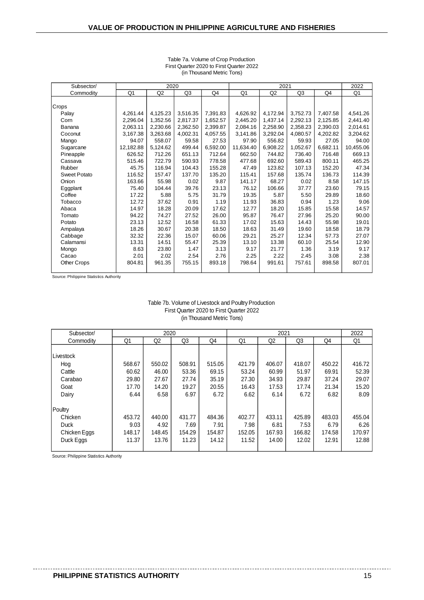| Subsector/          |           | 2020     |          |          |           |          | 2022     |          |           |
|---------------------|-----------|----------|----------|----------|-----------|----------|----------|----------|-----------|
| Commodity           | Q1        | Q2       | Q3       | Q4       | Q1        | Q2       | Q3       | Q4       | Q1        |
|                     |           |          |          |          |           |          |          |          |           |
| Crops               |           |          |          |          |           |          |          |          |           |
| Palay               | 4,261.44  | 4,125.23 | 3,516.35 | 7,391.83 | 4,626.92  | 4,172.94 | 3,752.73 | 7,407.58 | 4,541.26  |
| Corn                | 2.296.04  | 1,352.56 | 2,817.37 | 1,652.57 | 2,445.20  | 1,437.14 | 2,292.13 | 2,125.85 | 2,441.40  |
| Banana              | 2,063.11  | 2,230.66 | 2,362.50 | 2,399.87 | 2,084.16  | 2,258.90 | 2,358.23 | 2,390.03 | 2,014.61  |
| Coconut             | 3,167.38  | 3,263.68 | 4,002.31 | 4,057.55 | 3,141.86  | 3,292.04 | 4,080.57 | 4,202.82 | 3,204.62  |
| Mango               | 94.07     | 558.07   | 59.58    | 27.53    | 97.90     | 556.82   | 59.93    | 27.05    | 94.00     |
| Sugarcane           | 12,182.88 | 5,124.62 | 499.44   | 6,592.00 | 11,634.40 | 6,908.22 | 1,052.67 | 6,682.11 | 10,455.06 |
| Pineapple           | 626.52    | 712.26   | 651.13   | 712.64   | 662.50    | 744.82   | 736.40   | 716.48   | 669.13    |
| Cassava             | 515.46    | 722.79   | 590.93   | 778.58   | 477.68    | 692.60   | 589.43   | 800.11   | 465.25    |
| Rubber              | 45.75     | 116.94   | 104.43   | 155.28   | 47.49     | 123.82   | 107.13   | 152.20   | 47.34     |
| <b>Sweet Potato</b> | 116.52    | 157.47   | 137.70   | 135.20   | 115.41    | 157.68   | 135.74   | 136.73   | 114.39    |
| Onion               | 163.66    | 55.98    | 0.02     | 9.87     | 141.17    | 68.27    | 0.02     | 8.58     | 147.15    |
| Eggplant            | 75.40     | 104.44   | 39.76    | 23.13    | 76.12     | 106.66   | 37.77    | 23.60    | 79.15     |
| Coffee              | 17.22     | 5.88     | 5.75     | 31.79    | 19.35     | 5.87     | 5.50     | 29.89    | 18.60     |
| Tobacco             | 12.72     | 37.62    | 0.91     | 1.19     | 11.93     | 36.83    | 0.94     | 1.23     | 9.06      |
| Abaca               | 14.97     | 18.28    | 20.09    | 17.62    | 12.77     | 18.20    | 15.85    | 15.58    | 14.57     |
| Tomato              | 94.22     | 74.27    | 27.52    | 26.00    | 95.87     | 76.47    | 27.96    | 25.20    | 90.00     |
| Potato              | 23.13     | 12.52    | 16.58    | 61.33    | 17.02     | 15.63    | 14.43    | 55.98    | 19.01     |
| Ampalaya            | 18.26     | 30.67    | 20.38    | 18.50    | 18.63     | 31.49    | 19.60    | 18.58    | 18.79     |
| Cabbage             | 32.32     | 22.36    | 15.07    | 60.06    | 29.21     | 25.27    | 12.34    | 57.73    | 27.07     |
| Calamansi           | 13.31     | 14.51    | 55.47    | 25.39    | 13.10     | 13.38    | 60.10    | 25.54    | 12.90     |
| Mongo               | 8.63      | 23.80    | 1.47     | 3.13     | 9.17      | 21.77    | 1.36     | 3.19     | 9.17      |
| Cacao               | 2.01      | 2.02     | 2.54     | 2.76     | 2.25      | 2.22     | 2.45     | 3.08     | 2.38      |
| <b>Other Crops</b>  | 804.81    | 961.35   | 755.15   | 893.18   | 798.64    | 991.61   | 757.61   | 898.58   | 807.01    |
|                     |           |          |          |          |           |          |          |          |           |

#### Table 7a. Volume of Crop Production First Quarter 2020 to First Quarter 2022 (in Thousand Metric Tons)

Source: Philippine Statistics Authority

#### Table 7b. Volume of Livestock and Poultry Production First Quarter 2020 to First Quarter 2022 (in Thousand Metric Tons)

| Subsector/   |        | 2020           |                |        | 2021   |        |                |        | 2022   |
|--------------|--------|----------------|----------------|--------|--------|--------|----------------|--------|--------|
| Commodity    | Q1     | Q <sub>2</sub> | Q <sub>3</sub> | Q4     | Q1     | Q2     | Q <sub>3</sub> | Q4     | Q1     |
|              |        |                |                |        |        |        |                |        |        |
| Livestock    |        |                |                |        |        |        |                |        |        |
| Hog          | 568.67 | 550.02         | 508.91         | 515.05 | 421.79 | 406.07 | 418.07         | 450.22 | 416.72 |
| Cattle       | 60.62  | 46.00          | 53.36          | 69.15  | 53.24  | 60.99  | 51.97          | 69.91  | 52.39  |
| Carabao      | 29.80  | 27.67          | 27.74          | 35.19  | 27.30  | 34.93  | 29.87          | 37.24  | 29.07  |
| Goat         | 17.70  | 14.20          | 19.27          | 20.55  | 16.43  | 17.53  | 17.74          | 21.34  | 15.20  |
| Dairy        | 6.44   | 6.58           | 6.97           | 6.72   | 6.62   | 6.14   | 6.72           | 6.82   | 8.09   |
|              |        |                |                |        |        |        |                |        |        |
| Poultry      |        |                |                |        |        |        |                |        |        |
| Chicken      | 453.72 | 440.00         | 431.77         | 484.36 | 402.77 | 433.11 | 425.89         | 483.03 | 455.04 |
| <b>Duck</b>  | 9.03   | 4.92           | 7.69           | 7.91   | 7.98   | 6.81   | 7.53           | 6.79   | 6.26   |
| Chicken Eggs | 148.17 | 148.45         | 154.29         | 154.87 | 152.05 | 167.93 | 166.82         | 174.58 | 170.97 |
| Duck Eggs    | 11.37  | 13.76          | 11.23          | 14.12  | 11.52  | 14.00  | 12.02          | 12.91  | 12.88  |
|              |        |                |                |        |        |        |                |        |        |

Source: Philippine Statistics Authority

 $- - - - - -$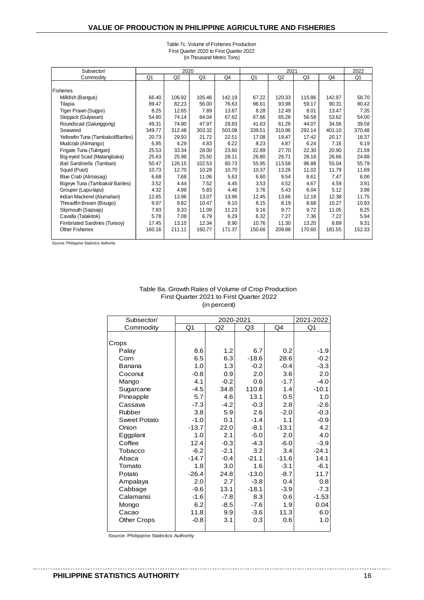| Subsector/                        |                | 2020   |        |        |                |                | 2022           |        |                |
|-----------------------------------|----------------|--------|--------|--------|----------------|----------------|----------------|--------|----------------|
| Commodity                         | Q <sub>1</sub> | Q2     | Q3     | Q4     | Q <sub>1</sub> | Q <sub>2</sub> | Q <sub>3</sub> | Q4     | Q <sub>1</sub> |
|                                   |                |        |        |        |                |                |                |        |                |
| Fisheries                         |                |        |        |        |                |                |                |        |                |
| Milkfish (Bangus)                 | 66.40          | 106.92 | 105.46 | 142.19 | 67.22          | 120.33         | 115.86         | 142.97 | 58.70          |
| Tilapia                           | 89.47          | 82.23  | 56.00  | 76.63  | 96.61          | 93.98          | 59.17          | 90.31  | 90.42          |
| Tiger Prawn (Sugpo)               | 8.25           | 12.65  | 7.89   | 13.67  | 8.28           | 12.49          | 8.01           | 13.47  | 7.35           |
| Skipjack (Gulyasan)               | 54.80          | 74.14  | 64.04  | 67.62  | 67.66          | 65.28          | 56.58          | 53.62  | 54.00          |
| Roundscad (Galunggong)            | 49.31          | 74.90  | 47.97  | 29.83  | 41.63          | 61.26          | 44.07          | 34.56  | 39.58          |
| Seaweed                           | 349.77         | 312.48 | 303.32 | 503.08 | 339.51         | 310.96         | 292.14         | 401.10 | 370.48         |
| Yellowfin Tuna (Tambakol/Bariles) | 20.73          | 29.93  | 21.72  | 22.51  | 17.08          | 19.47          | 17.42          | 20.17  | 18.37          |
| Mudcrab (Alimango)                | 6.85           | 4.29   | 4.83   | 6.22   | 8.23           | 4.87           | 6.24           | 7.16   | 6.19           |
| Frigate Tuna (Tulingan)           | 25.53          | 33.34  | 28.00  | 23.60  | 22.89          | 27.70          | 22.30          | 20.90  | 21.59          |
| Big-eyed Scad (Matangbaka)        | 25.63          | 25.98  | 25.50  | 28.11  | 26.80          | 26.71          | 28.18          | 26.66  | 24.88          |
| Bali Sardinella (Tamban)          | 50.47          | 126.15 | 102.53 | 60.73  | 55.95          | 113.58         | 96.88          | 55.04  | 55.79          |
| Squid (Pusit)                     | 10.73          | 12.70  | 10.28  | 10.70  | 10.37          | 13.26          | 11.02          | 11.79  | 11.69          |
| Blue Crab (Alimasag)              | 6.68           | 7.68   | 11.06  | 5.63   | 6.60           | 9.54           | 8.61           | 7.47   | 6.06           |
| Bigeye Tuna (Tambakol/ Bariles)   | 3.52           | 4.44   | 7.52   | 4.45   | 3.53           | 4.52           | 4.67           | 4.59   | 3.91           |
| Grouper (Lapu-lapu)               | 4.32           | 4.98   | 5.83   | 4.46   | 3.76           | 5.43           | 6.04           | 5.12   | 3.98           |
| Indian Mackerel (Alumahan)        | 12.65          | 13.96  | 13.07  | 13.96  | 12.45          | 13.66          | 12.18          | 12.38  | 11.75          |
| Threadfin Bream (Bisugo)          | 9.97           | 9.82   | 10.47  | 9.10   | 8.15           | 8.19           | 8.68           | 10.27  | 10.93          |
| Slipmouth (Sapsap)                | 7.93           | 9.33   | 11.09  | 11.23  | 9.16           | 9.77           | 9.72           | 11.05  | 8.25           |
| Cavalla (Talakitok)               | 5.78           | 7.08   | 6.79   | 6.29   | 6.32           | 7.27           | 7.36           | 7.22   | 5.94           |
| Fimbriated Sardines (Tunsoy)      | 17.45          | 13.10  | 12.34  | 8.90   | 10.76          | 11.30          | 13.20          | 8.89   | 9.31           |
| <b>Other Fisheries</b>            | 160.16         | 211.11 | 160.77 | 171.37 | 150.66         | 209.88         | 170.60         | 181.55 | 152.33         |
|                                   |                |        |        |        |                |                |                |        |                |

Table 7c. Volume of Fisheries Production First Quarter 2020 to First Quarter 2022 (in Thousand Metric Tons)

Source: Philippine Statistics Authority

| Subsector/          |         | 2020-2021 |         |         | 2021-2022 |
|---------------------|---------|-----------|---------|---------|-----------|
| Commodity           | Q1      | Q2        | Q3      | Q4      | Q1        |
|                     |         |           |         |         |           |
| Crops               |         |           |         |         |           |
| Palay               | 8.6     | 1.2       | 6.7     | 0.2     | $-1.9$    |
| Corn                | 6.5     | 6.3       | $-18.6$ | 28.6    | $-0.2$    |
| Banana              | 1.0     | 1.3       | $-0.2$  | $-0.4$  | $-3.3$    |
| Coconut             | $-0.8$  | 0.9       | 2.0     | 3.6     | 2.0       |
| Mango               | 4.1     | $-0.2$    | 0.6     | $-1.7$  | $-4.0$    |
| Sugarcane           | $-4.5$  | 34.8      | 110.8   | 1.4     | $-10.1$   |
| Pineapple           | 5.7     | 4.6       | 13.1    | 0.5     | 1.0       |
| Cassava             | $-7.3$  | $-4.2$    | $-0.3$  | 2.8     | $-2.6$    |
| Rubber              | 3.8     | 5.9       | 2.6     | $-2.0$  | $-0.3$    |
| <b>Sweet Potato</b> | $-1.0$  | 0.1       | $-1.4$  | 1.1     | $-0.9$    |
| Onion               | $-13.7$ | 22.0      | $-8.1$  | $-13.1$ | 4.2       |
| Eggplant            | 1.0     | 2.1       | $-5.0$  | 2.0     | 4.0       |
| Coffee              | 12.4    | $-0.3$    | $-4.3$  | $-6.0$  | $-3.9$    |
| Tobacco             | $-6.2$  | $-2.1$    | 3.2     | 3.4     | $-24.1$   |
| Abaca               | $-14.7$ | $-0.4$    | $-21.1$ | $-11.6$ | 14.1      |
| Tomato              | 1.8     | 3.0       | 1.6     | $-3.1$  | $-6.1$    |
| Potato              | $-26.4$ | 24.8      | $-13.0$ | $-8.7$  | 11.7      |
| Ampalaya            | 2.0     | 2.7       | $-3.8$  | 0.4     | 0.8       |
| Cabbage             | $-9.6$  | 13.1      | $-18.1$ | $-3.9$  | $-7.3$    |
| Calamansi           | -1.6    | $-7.8$    | 8.3     | 0.6     | $-1.53$   |
| Mongo               | 6.2     | $-8.5$    | $-7.6$  | 1.9     | 0.04      |
| Cacao               | 11.8    | 9.9       | $-3.6$  | 11.3    | 6.0       |
| <b>Other Crops</b>  | $-0.8$  | 3.1       | 0.3     | 0.6     | 1.0       |
|                     |         |           |         |         |           |

Source: Philippine Statistics Authority

 $- - - - - -$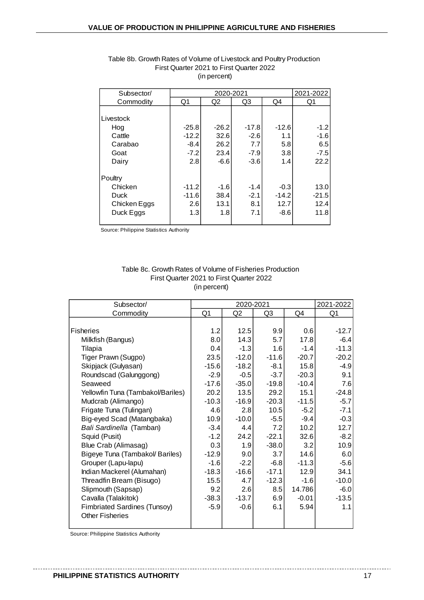|         |         |         | 2021-2022 |         |  |
|---------|---------|---------|-----------|---------|--|
| Q1      | Q2      | Q3      | Q4        | Q1      |  |
|         |         |         |           |         |  |
|         |         |         |           |         |  |
| $-25.8$ | $-26.2$ | $-17.8$ | $-12.6$   | $-1.2$  |  |
| $-12.2$ | 32.6    | $-2.6$  | 1.1       | -1.6    |  |
| $-8.4$  | 26.2    | 7.7     | 5.8       | 6.5     |  |
| $-7.2$  | 23.4    | $-7.9$  | 3.8       | $-7.5$  |  |
| 2.8     | -6.6    | $-3.6$  | 1.4       | 22.2    |  |
|         |         |         |           |         |  |
| $-11.2$ | $-1.6$  | $-1.4$  | $-0.3$    | 13.0    |  |
| $-11.6$ | 38.4    | $-2.1$  | $-14.2$   | $-21.5$ |  |
| 2.6     | 13.1    | 8.1     | 12.7      | 12.4    |  |
| 1.3     | 1.8     | 7.1     | $-8.6$    | 11.8    |  |
|         |         |         | 2020-2021 |         |  |

#### Table 8b. Growth Rates of Volume of Livestock and Poultry Production First Quarter 2021 to First Quarter 2022 (in percent)

Source: Philippine Statistics Authority

#### Table 8c. Growth Rates of Volume of Fisheries Production First Quarter 2021 to First Quarter 2022 (in percent)

| Subsector/                          |                | 2020-2021      |         |         | 2021-2022 |
|-------------------------------------|----------------|----------------|---------|---------|-----------|
| Commodity                           | Q <sub>1</sub> | Q <sub>2</sub> | Q3      | Q4      | Q1        |
|                                     |                |                |         |         |           |
| <b>Fisheries</b>                    | 1.2            | 12.5           | 9.9     | 0.6     | $-12.7$   |
| Milkfish (Bangus)                   | 8.0            | 14.3           | 5.7     | 17.8    | $-6.4$    |
| Tilapia                             | 0.4            | $-1.3$         | 1.6     | $-1.4$  | $-11.3$   |
| Tiger Prawn (Sugpo)                 | 23.5           | $-12.0$        | $-11.6$ | $-20.7$ | $-20.2$   |
| Skipjack (Gulyasan)                 | $-15.6$        | $-18.2$        | $-8.1$  | 15.8    | $-4.9$    |
| Roundscad (Galunggong)              | $-2.9$         | $-0.5$         | $-3.7$  | $-20.3$ | 9.1       |
| Seaweed                             | $-17.6$        | $-35.0$        | $-19.8$ | $-10.4$ | 7.6       |
| Yellowfin Tuna (Tambakol/Bariles)   | 20.2           | 13.5           | 29.2    | 15.1    | $-24.8$   |
| Mudcrab (Alimango)                  | $-10.3$        | $-16.9$        | $-20.3$ | $-11.5$ | $-5.7$    |
| Frigate Tuna (Tulingan)             | 4.6            | 2.8            | 10.5    | $-5.2$  | $-7.1$    |
| Big-eyed Scad (Matangbaka)          | 10.9           | $-10.0$        | $-5.5$  | $-9.4$  | $-0.3$    |
| Bali Sardinella (Tamban)            | $-3.4$         | 4.4            | 7.2     | 10.2    | 12.7      |
| Squid (Pusit)                       | $-1.2$         | 24.2           | $-22.1$ | 32.6    | $-8.2$    |
| Blue Crab (Alimasag)                | 0.3            | 1.9            | $-38.0$ | 3.2     | 10.9      |
| Bigeye Tuna (Tambakol/ Bariles)     | $-12.9$        | 9.0            | 3.7     | 14.6    | 6.0       |
| Grouper (Lapu-lapu)                 | $-1.6$         | $-2.2$         | $-6.8$  | $-11.3$ | $-5.6$    |
| Indian Mackerel (Alumahan)          | $-18.3$        | $-16.6$        | $-17.1$ | 12.9    | 34.1      |
| Threadfin Bream (Bisugo)            | 15.5           | 4.7            | $-12.3$ | $-1.6$  | $-10.0$   |
| Slipmouth (Sapsap)                  | 9.2            | 2.6            | 8.5     | 14.786  | $-6.0$    |
| Cavalla (Talakitok)                 | $-38.3$        | $-13.7$        | 6.9     | $-0.01$ | $-13.5$   |
| <b>Fimbriated Sardines (Tunsoy)</b> | $-5.9$         | $-0.6$         | 6.1     | 5.94    | 1.1       |
| <b>Other Fisheries</b>              |                |                |         |         |           |
|                                     |                |                |         |         |           |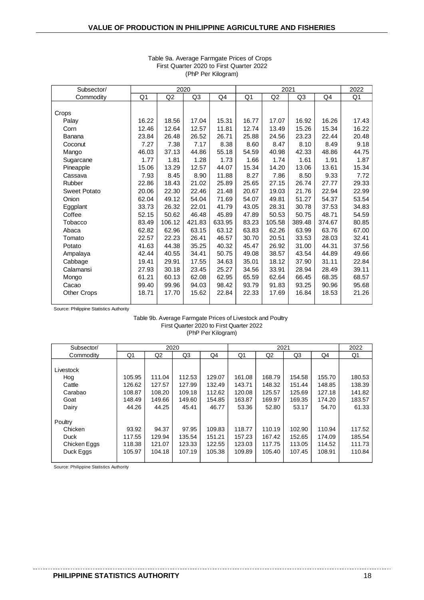| Subsector/          | 2020  |        |                |        | 2021  |        |        |        | 2022  |
|---------------------|-------|--------|----------------|--------|-------|--------|--------|--------|-------|
| Commodity           | Q1    | Q2     | Q <sub>3</sub> | Q4     | Q1    | Q2     | Q3     | Q4     | Q1    |
|                     |       |        |                |        |       |        |        |        |       |
| Crops               |       |        |                |        |       |        |        |        |       |
| Palay               | 16.22 | 18.56  | 17.04          | 15.31  | 16.77 | 17.07  | 16.92  | 16.26  | 17.43 |
| Corn                | 12.46 | 12.64  | 12.57          | 11.81  | 12.74 | 13.49  | 15.26  | 15.34  | 16.22 |
| Banana              | 23.84 | 26.48  | 26.52          | 26.71  | 25.88 | 24.56  | 23.23  | 22.44  | 20.48 |
| Coconut             | 7.27  | 7.38   | 7.17           | 8.38   | 8.60  | 8.47   | 8.10   | 8.49   | 9.18  |
| Mango               | 46.03 | 37.13  | 44.86          | 55.18  | 54.59 | 40.98  | 42.33  | 48.86  | 44.75 |
| Sugarcane           | 1.77  | 1.81   | 1.28           | 1.73   | 1.66  | 1.74   | 1.61   | 1.91   | 1.87  |
| Pineapple           | 15.06 | 13.29  | 12.57          | 44.07  | 15.34 | 14.20  | 13.06  | 13.61  | 15.34 |
| Cassava             | 7.93  | 8.45   | 8.90           | 11.88  | 8.27  | 7.86   | 8.50   | 9.33   | 7.72  |
| Rubber              | 22.86 | 18.43  | 21.02          | 25.89  | 25.65 | 27.15  | 26.74  | 27.77  | 29.33 |
| <b>Sweet Potato</b> | 20.06 | 22.30  | 22.46          | 21.48  | 20.67 | 19.03  | 21.76  | 22.94  | 22.99 |
| Onion               | 62.04 | 49.12  | 54.04          | 71.69  | 54.07 | 49.81  | 51.27  | 54.37  | 53.54 |
| Eggplant            | 33.73 | 26.32  | 22.01          | 41.79  | 43.05 | 28.31  | 30.78  | 37.53  | 34.83 |
| Coffee              | 52.15 | 50.62  | 46.48          | 45.89  | 47.89 | 50.53  | 50.75  | 48.71  | 54.59 |
| Tobacco             | 83.49 | 106.12 | 421.83         | 633.95 | 83.23 | 105.58 | 389.48 | 374.67 | 80.85 |
| Abaca               | 62.82 | 62.96  | 63.15          | 63.12  | 63.83 | 62.26  | 63.99  | 63.76  | 67.00 |
| Tomato              | 22.57 | 22.23  | 26.41          | 46.57  | 30.70 | 20.51  | 33.53  | 28.03  | 32.41 |
| Potato              | 41.63 | 44.38  | 35.25          | 40.32  | 45.47 | 26.92  | 31.00  | 44.31  | 37.56 |
| Ampalaya            | 42.44 | 40.55  | 34.41          | 50.75  | 49.08 | 38.57  | 43.54  | 44.89  | 49.66 |
| Cabbage             | 19.41 | 29.91  | 17.55          | 34.63  | 35.01 | 18.12  | 37.90  | 31.11  | 22.84 |
| Calamansi           | 27.93 | 30.18  | 23.45          | 25.27  | 34.56 | 33.91  | 28.94  | 28.49  | 39.11 |
| Mongo               | 61.21 | 60.13  | 62.08          | 62.95  | 65.59 | 62.64  | 66.45  | 68.35  | 68.57 |
| Cacao               | 99.40 | 99.96  | 94.03          | 98.42  | 93.79 | 91.83  | 93.25  | 90.96  | 95.68 |
| <b>Other Crops</b>  | 18.71 | 17.70  | 15.62          | 22.84  | 22.33 | 17.69  | 16.84  | 18.53  | 21.26 |
|                     |       |        |                |        |       |        |        |        |       |

#### Table 9a. Average Farmgate Prices of Crops First Quarter 2020 to First Quarter 2022 (PhP Per Kilogram)

Source: Philippine Statistics Authority

#### First Quarter 2020 to First Quarter 2022 (PhP Per Kilogram) Table 9b. Average Farmgate Prices of Livestock and Poultry

| Subsector/   |        |        | 2020           |        |        | 2022           |        |        |        |
|--------------|--------|--------|----------------|--------|--------|----------------|--------|--------|--------|
| Commodity    | Q1     | Q2     | Q <sub>3</sub> | Q4     | Q1     | Q <sub>2</sub> | Q3     | Q4     | Q1     |
|              |        |        |                |        |        |                |        |        |        |
| Livestock    |        |        |                |        |        |                |        |        |        |
| Hog          | 105.95 | 111.04 | 112.53         | 129.07 | 161.08 | 168.79         | 154.58 | 155.70 | 180.53 |
| Cattle       | 126.62 | 127.57 | 127.99         | 132.49 | 143.71 | 148.32         | 151.44 | 148.85 | 138.39 |
| Carabao      | 108.87 | 108.20 | 109.18         | 112.62 | 120.08 | 125.57         | 125.69 | 127.18 | 141.82 |
| Goat         | 148.49 | 149.66 | 149.60         | 154.85 | 163.87 | 169.97         | 169.35 | 174.20 | 183.57 |
| Dairy        | 44.26  | 44.25  | 45.41          | 46.77  | 53.36  | 52.80          | 53.17  | 54.70  | 61.33  |
|              |        |        |                |        |        |                |        |        |        |
| Poultry      |        |        |                |        |        |                |        |        |        |
| Chicken      | 93.92  | 94.37  | 97.95          | 109.83 | 118.77 | 110.19         | 102.90 | 110.94 | 117.52 |
| Duck         | 117.55 | 129.94 | 135.54         | 151.21 | 157.23 | 167.42         | 152.65 | 174.09 | 185.54 |
| Chicken Eggs | 118.38 | 121.07 | 123.33         | 122.55 | 123.03 | 117.75         | 113.05 | 114.52 | 111.73 |
| Duck Eggs    | 105.97 | 104.18 | 107.19         | 105.38 | 109.89 | 105.40         | 107.45 | 108.91 | 110.84 |
|              |        |        |                |        |        |                |        |        |        |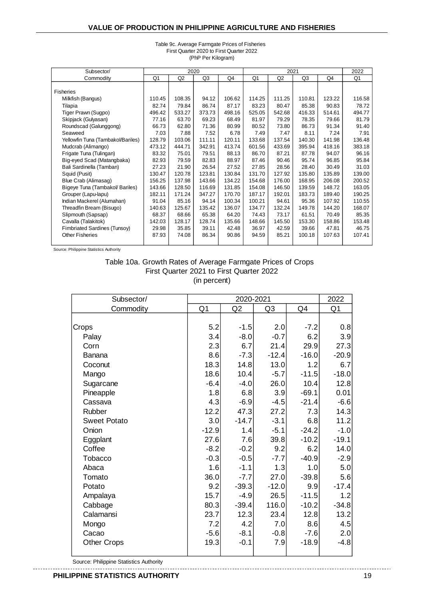| Subsector/                        |        | 2020   |                |        | 2021   |        |        |        | 2022   |
|-----------------------------------|--------|--------|----------------|--------|--------|--------|--------|--------|--------|
| Commodity                         | Q1     | Q2     | Q <sub>3</sub> | Q4     | Q1     | Q2     | Q3     | Q4     | Q1     |
|                                   |        |        |                |        |        |        |        |        |        |
| <b>Fisheries</b>                  |        |        |                |        |        |        |        |        |        |
| Milkfish (Bangus)                 | 110.45 | 108.35 | 94.12          | 106.62 | 114.25 | 111.25 | 110.81 | 123.22 | 116.58 |
| Tilapia                           | 82.74  | 79.84  | 86.74          | 87.17  | 83.23  | 80.47  | 85.38  | 90.83  | 78.72  |
| Tiger Prawn (Sugpo)               | 496.42 | 533.27 | 373.73         | 498.16 | 525.05 | 542.68 | 416.33 | 514.61 | 494.77 |
| Skipjack (Gulyasan)               | 77.16  | 63.70  | 69.23          | 68.49  | 81.97  | 79.29  | 78.35  | 79.66  | 81.79  |
| Roundscad (Galunggong)            | 66.73  | 62.80  | 71.36          | 80.99  | 80.52  | 73.80  | 86.73  | 91.34  | 91.40  |
| Seaweed                           | 7.03   | 7.88   | 7.52           | 6.78   | 7.49   | 7.47   | 8.11   | 7.24   | 7.91   |
| Yellowfin Tuna (Tambakol/Bariles) | 128.79 | 103.06 | 111.11         | 120.11 | 133.68 | 137.54 | 140.30 | 141.98 | 136.48 |
| Mudcrab (Alimango)                | 473.12 | 444.71 | 342.91         | 413.74 | 601.56 | 433.69 | 395.94 | 418.16 | 383.18 |
| Frigate Tuna (Tulingan)           | 83.32  | 75.01  | 79.51          | 88.13  | 86.70  | 87.21  | 87.78  | 94.07  | 96.16  |
| Big-eyed Scad (Matangbaka)        | 82.93  | 79.59  | 82.83          | 88.97  | 87.46  | 90.46  | 95.74  | 96.85  | 95.84  |
| Bali Sardinella (Tamban)          | 27.23  | 21.90  | 26.54          | 27.52  | 27.85  | 28.56  | 28.40  | 30.49  | 31.03  |
| Squid (Pusit)                     | 130.47 | 120.78 | 123.81         | 130.84 | 131.70 | 127.92 | 135.80 | 135.89 | 139.00 |
| Blue Crab (Alimasag)              | 156.25 | 137.98 | 143.66         | 134.22 | 154.68 | 176.00 | 168.95 | 206.08 | 200.52 |
| Bigeye Tuna (Tambakol/ Bariles)   | 143.66 | 128.50 | 116.69         | 131.85 | 154.08 | 146.50 | 139.59 | 148.72 | 163.05 |
| Grouper (Lapu-lapu)               | 182.11 | 171.24 | 347.27         | 170.70 | 187.17 | 192.01 | 183.73 | 189.40 | 190.25 |
| Indian Mackerel (Alumahan)        | 91.04  | 85.16  | 94.14          | 100.34 | 100.21 | 94.61  | 95.36  | 107.92 | 110.55 |
| Threadfin Bream (Bisugo)          | 140.63 | 125.67 | 135.42         | 136.07 | 134.77 | 132.24 | 149.78 | 144.20 | 168.07 |
| Slipmouth (Sapsap)                | 68.37  | 68.66  | 65.38          | 64.20  | 74.43  | 73.17  | 61.51  | 70.49  | 85.35  |
| Cavalla (Talakitok)               | 142.03 | 128.17 | 128.74         | 135.66 | 148.66 | 145.50 | 153.30 | 158.86 | 153.48 |
| Fimbriated Sardines (Tunsoy)      | 29.98  | 35.85  | 39.11          | 42.48  | 36.97  | 42.59  | 39.66  | 47.81  | 46.75  |
| <b>Other Fisheries</b>            | 87.93  | 74.08  | 86.34          | 90.86  | 94.59  | 85.21  | 100.18 | 107.63 | 107.41 |
|                                   |        |        |                |        |        |        |        |        |        |

#### Table 9c. Average Farmgate Prices of Fisheries First Quarter 2020 to First Quarter 2022 (PhP Per Kilogram)

Source: Philippine Statistics Authority

#### Table 10a. Growth Rates of Average Farmgate Prices of Crops First Quarter 2021 to First Quarter 2022 (in percent)

| Subsector/          |         | 2020-2021      |         |         | 2022           |
|---------------------|---------|----------------|---------|---------|----------------|
| Commodity           | Q1      | Q <sub>2</sub> | Q3      | Q4      | Q <sub>1</sub> |
|                     |         |                |         |         |                |
| Crops               | 5.2     | $-1.5$         | 2.0     | $-7.2$  | 0.8            |
| Palay               | 3.4     | $-8.0$         | $-0.7$  | 6.2     | 3.9            |
| Corn                | 2.3     | 6.7            | 21.4    | 29.9    | 27.3           |
| <b>Banana</b>       | 8.6     | $-7.3$         | $-12.4$ | $-16.0$ | $-20.9$        |
| Coconut             | 18.3    | 14.8           | 13.0    | 1.2     | 6.7            |
| Mango               | 18.6    | 10.4           | $-5.7$  | $-11.5$ | $-18.0$        |
| Sugarcane           | $-6.4$  | $-4.0$         | 26.0    | 10.4    | 12.8           |
| Pineapple           | 1.8     | 6.8            | 3.9     | $-69.1$ | 0.01           |
| Cassava             | 4.3     | $-6.9$         | $-4.5$  | $-21.4$ | $-6.6$         |
| Rubber              | 12.2    | 47.3           | 27.2    | 7.3     | 14.3           |
| <b>Sweet Potato</b> | 3.0     | $-14.7$        | $-3.1$  | 6.8     | 11.2           |
| Onion               | $-12.9$ | 1.4            | $-5.1$  | $-24.2$ | $-1.0$         |
| Eggplant            | 27.6    | 7.6            | 39.8    | $-10.2$ | $-19.1$        |
| Coffee              | $-8.2$  | $-0.2$         | 9.2     | 6.2     | 14.0           |
| Tobacco             | $-0.3$  | $-0.5$         | $-7.7$  | $-40.9$ | $-2.9$         |
| Abaca               | 1.6     | $-1.1$         | 1.3     | 1.0     | 5.0            |
| Tomato              | 36.0    | $-7.7$         | 27.0    | $-39.8$ | 5.6            |
| Potato              | 9.2     | $-39.3$        | $-12.0$ | 9.9     | $-17.4$        |
| Ampalaya            | 15.7    | $-4.9$         | 26.5    | $-11.5$ | 1.2            |
| Cabbage             | 80.3    | $-39.4$        | 116.0   | $-10.2$ | $-34.8$        |
| Calamansi           | 23.7    | 12.3           | 23.4    | 12.8    | 13.2           |
| Mongo               | 7.2     | 4.2            | 7.0     | 8.6     | 4.5            |
| Cacao               | $-5.6$  | $-8.1$         | $-0.8$  | $-7.6$  | 2.0            |
| <b>Other Crops</b>  | 19.3    | $-0.1$         | 7.9     | $-18.9$ | $-4.8$         |
|                     |         |                |         |         |                |

Source: Philippine Statistics Authority

. \_ \_ \_ \_ \_ \_ \_ \_ \_ \_ \_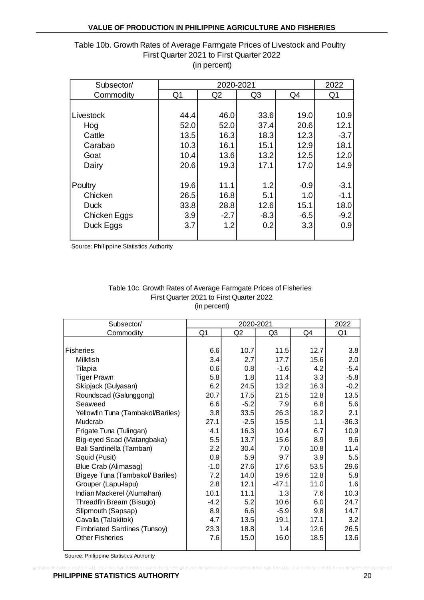# Table 10b. Growth Rates of Average Farmgate Prices of Livestock and Poultry First Quarter 2021 to First Quarter 2022 (in percent)

| Subsector/   |                | 2022   |                |        |                |
|--------------|----------------|--------|----------------|--------|----------------|
| Commodity    | Q <sub>1</sub> | Q2     | Q <sub>3</sub> | Q4     | Q <sub>1</sub> |
|              |                |        |                |        |                |
| Livestock    | 44.4           | 46.0   | 33.6           | 19.0   | 10.9           |
| Hog          | 52.0           | 52.0   | 37.4           | 20.6   | 12.1           |
| Cattle       | 13.5           | 16.3   | 18.3           | 12.3   | $-3.7$         |
| Carabao      | 10.3           | 16.1   | 15.1           | 12.9   | 18.1           |
| Goat         | 10.4           | 13.6   | 13.2           | 12.5   | 12.0           |
| Dairy        | 20.6           | 19.3   | 17.1           | 17.0   | 14.9           |
|              |                |        |                |        |                |
| Poultry      | 19.6           | 11.1   | 1.2            | $-0.9$ | $-3.1$         |
| Chicken      | 26.5           | 16.8   | 5.1            | 1.0    | $-1.1$         |
| <b>Duck</b>  | 33.8           | 28.8   | 12.6           | 15.1   | 18.0           |
| Chicken Eggs | 3.9            | $-2.7$ | $-8.3$         | $-6.5$ | $-9.2$         |
| Duck Eggs    | 3.7            | 1.2    | 0.2            | 3.3    | 0.9            |
|              |                |        |                |        |                |

Source: Philippine Statistics Authority

#### Table 10c. Growth Rates of Average Farmgate Prices of Fisheries First Quarter 2021 to First Quarter 2022 (in percent)

| Subsector/                          |                | 2020-2021      |                |      | 2022           |
|-------------------------------------|----------------|----------------|----------------|------|----------------|
| Commodity                           | Q <sub>1</sub> | Q <sub>2</sub> | Q <sub>3</sub> | Q4   | Q <sub>1</sub> |
|                                     |                |                |                |      |                |
| <b>Fisheries</b>                    | 6.6            | 10.7           | $11.5$         | 12.7 | 3.8            |
| Milkfish                            | 3.4            | 2.7            | 17.7           | 15.6 | 2.0            |
| Tilapia                             | 0.6            | 0.8            | $-1.6$         | 4.2  | $-5.4$         |
| <b>Tiger Prawn</b>                  | 5.8            | 1.8            | 11.4           | 3.3  | $-5.8$         |
| Skipjack (Gulyasan)                 | 6.2            | 24.5           | 13.2           | 16.3 | $-0.2$         |
| Roundscad (Galunggong)              | 20.7           | 17.5           | 21.5           | 12.8 | 13.5           |
| Seaweed                             | 6.6            | $-5.2$         | 7.9            | 6.8  | 5.6            |
| Yellowfin Tuna (Tambakol/Bariles)   | 3.8            | 33.5           | 26.3           | 18.2 | 2.1            |
| Mudcrab                             | 27.1           | $-2.5$         | 15.5           | 1.1  | $-36.3$        |
| Frigate Tuna (Tulingan)             | 4.1            | 16.3           | 10.4           | 6.7  | 10.9           |
| Big-eyed Scad (Matangbaka)          | 5.5            | 13.7           | 15.6           | 8.9  | 9.6            |
| Bali Sardinella (Tamban)            | 2.2            | 30.4           | 7.0            | 10.8 | 11.4           |
| Squid (Pusit)                       | 0.9            | 5.9            | 9.7            | 3.9  | 5.5            |
| Blue Crab (Alimasag)                | $-1.0$         | 27.6           | 17.6           | 53.5 | 29.6           |
| Bigeye Tuna (Tambakol/ Bariles)     | 7.2            | 14.0           | 19.6           | 12.8 | 5.8            |
| Grouper (Lapu-lapu)                 | 2.8            | 12.1           | $-47.1$        | 11.0 | 1.6            |
| Indian Mackerel (Alumahan)          | 10.1           | 11.1           | 1.3            | 7.6  | 10.3           |
| Threadfin Bream (Bisugo)            | $-4.2$         | 5.2            | 10.6           | 6.0  | 24.7           |
| Slipmouth (Sapsap)                  | 8.9            | 6.6            | $-5.9$         | 9.8  | 14.7           |
| Cavalla (Talakitok)                 | 4.7            | 13.5           | 19.1           | 17.1 | 3.2            |
| <b>Fimbriated Sardines (Tunsoy)</b> | 23.3           | 18.8           | 1.4            | 12.6 | 26.5           |
| <b>Other Fisheries</b>              | 7.6            | 15.0           | 16.0           | 18.5 | 13.6           |
|                                     |                |                |                |      |                |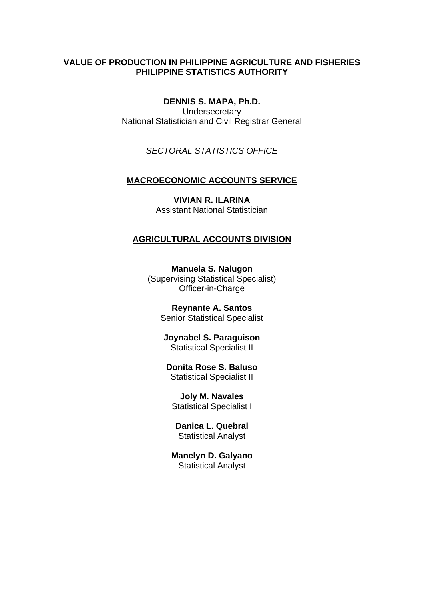# **VALUE OF PRODUCTION IN PHILIPPINE AGRICULTURE AND FISHERIES PHILIPPINE STATISTICS AUTHORITY**

**DENNIS S. MAPA, Ph.D. Undersecretary** National Statistician and Civil Registrar General

*SECTORAL STATISTICS OFFICE*

### **MACROECONOMIC ACCOUNTS SERVICE**

**VIVIAN R. ILARINA** Assistant National Statistician

### **AGRICULTURAL ACCOUNTS DIVISION**

**Manuela S. Nalugon** (Supervising Statistical Specialist) Officer-in-Charge

**Reynante A. Santos** Senior Statistical Specialist

**Joynabel S. Paraguison** Statistical Specialist II

#### **Donita Rose S. Baluso** Statistical Specialist II

**Joly M. Navales** Statistical Specialist I

**Danica L. Quebral** Statistical Analyst

**Manelyn D. Galyano** Statistical Analyst